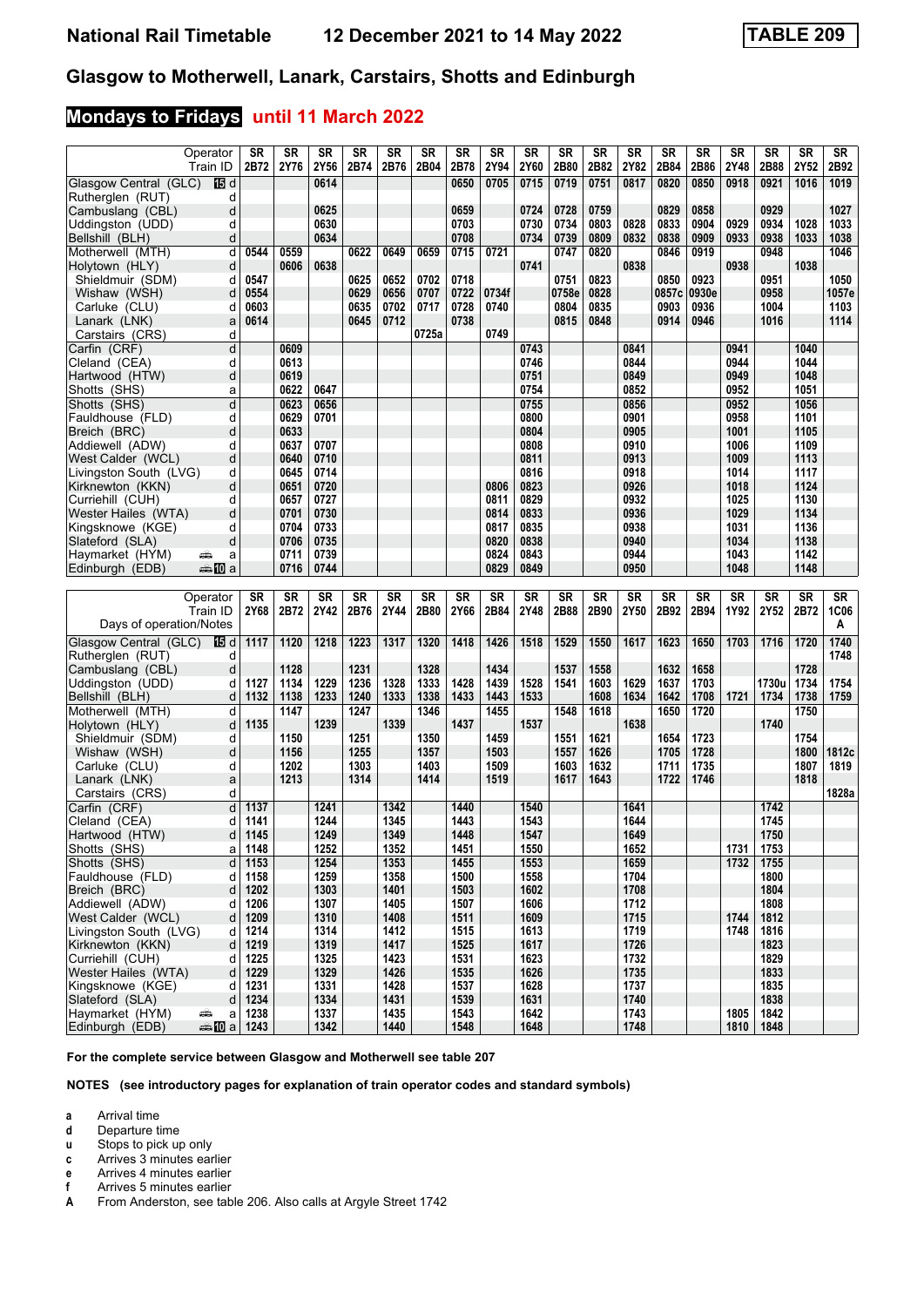# **Mondays to Fridays until 11 March 2022**

| Operator                                                        | SR           | <b>SR</b> | <b>SR</b>    | <b>SR</b> | <b>SR</b>    | <b>SR</b> | SR           | <b>SR</b> | <b>SR</b>    | <b>SR</b> | SR        | SR           | <b>SR</b> | SR        | <b>SR</b>    | SR           | <b>SR</b> | SR        |
|-----------------------------------------------------------------|--------------|-----------|--------------|-----------|--------------|-----------|--------------|-----------|--------------|-----------|-----------|--------------|-----------|-----------|--------------|--------------|-----------|-----------|
| Train ID                                                        | 2B72         | 2Y76      | 2Y56         | 2B74      | 2B76         | 2B04      | 2B78         | 2Y94      | 2Y60         | 2B80      | 2B82      | 2Y82         | 2B84      | 2B86      | 2Y48         | 2B88         | 2Y52      | 2B92      |
| Glasgow Central (GLC)<br>阳d                                     |              |           | 0614         |           |              |           | 0650         | 0705      | 0715         | 0719      | 0751      | 0817         | 0820      | 0850      | 0918         | 0921         | 1016      | 1019      |
| Rutherglen (RUT)<br>d                                           |              |           |              |           |              |           |              |           |              |           |           |              |           |           |              |              |           |           |
|                                                                 |              |           | 0625         |           |              |           |              |           |              |           |           |              |           |           |              |              |           |           |
| Cambuslang (CBL)<br>d                                           |              |           |              |           |              |           | 0659         |           | 0724         | 0728      | 0759      |              | 0829      | 0858      |              | 0929         |           | 1027      |
| d<br>Uddingston (UDD)                                           |              |           | 0630         |           |              |           | 0703         |           | 0730         | 0734      | 0803      | 0828         | 0833      | 0904      | 0929         | 0934         | 1028      | 1033      |
| Bellshill (BLH)<br>d                                            |              |           | 0634         |           |              |           | 0708         |           | 0734         | 0739      | 0809      | 0832         | 0838      | 0909      | 0933         | 0938         | 1033      | 1038      |
| Motherwell (MTH)<br>d                                           | 0544         | 0559      |              | 0622      | 0649         | 0659      | 0715         | 0721      |              | 0747      | 0820      |              | 0846      | 0919      |              | 0948         |           | 1046      |
| Holytown (HLY)<br>d                                             |              | 0606      | 0638         |           |              |           |              |           | 0741         |           |           | 0838         |           |           | 0938         |              | 1038      |           |
| Shieldmuir (SDM)<br>d                                           | 0547         |           |              | 0625      | 0652         | 0702      | 0718         |           |              | 0751      | 0823      |              | 0850      | 0923      |              | 0951         |           | 1050      |
| Wishaw (WSH)<br>d                                               | 0554         |           |              | 0629      | 0656         | 0707      | 0722         | 0734f     |              | 0758e     | 0828      |              | 0857c     | 0930e     |              | 0958         |           | 1057e     |
| Carluke (CLU)<br>d                                              | 0603         |           |              | 0635      | 0702         | 0717      | 0728         | 0740      |              | 0804      | 0835      |              | 0903      | 0936      |              | 1004         |           | 1103      |
|                                                                 | 0614         |           |              | 0645      |              |           | 0738         |           |              | 0815      | 0848      |              | 0914      | 0946      |              | 1016         |           | 1114      |
| Lanark (LNK)<br>a                                               |              |           |              |           | 0712         |           |              |           |              |           |           |              |           |           |              |              |           |           |
| Carstairs (CRS)<br>d                                            |              |           |              |           |              | 0725a     |              | 0749      |              |           |           |              |           |           |              |              |           |           |
| Carfin (CRF)<br>d                                               |              | 0609      |              |           |              |           |              |           | 0743         |           |           | 0841         |           |           | 0941         |              | 1040      |           |
| d<br>Cleland (CEA)                                              |              | 0613      |              |           |              |           |              |           | 0746         |           |           | 0844         |           |           | 0944         |              | 1044      |           |
| d<br>Hartwood (HTW)                                             |              | 0619      |              |           |              |           |              |           | 0751         |           |           | 0849         |           |           | 0949         |              | 1048      |           |
| Shotts (SHS)<br>a                                               |              | 0622      | 0647         |           |              |           |              |           | 0754         |           |           | 0852         |           |           | 0952         |              | 1051      |           |
| d<br>Shotts (SHS)                                               |              | 0623      | 0656         |           |              |           |              |           | 0755         |           |           | 0856         |           |           | 0952         |              | 1056      |           |
| d<br>Fauldhouse (FLD)                                           |              | 0629      | 0701         |           |              |           |              |           | 0800         |           |           | 0901         |           |           | 0958         |              | 1101      |           |
| d<br>Breich (BRC)                                               |              | 0633      |              |           |              |           |              |           | 0804         |           |           | 0905         |           |           | 1001         |              | 1105      |           |
| d                                                               |              | 0637      | 0707         |           |              |           |              |           | 0808         |           |           | 0910         |           |           | 1006         |              | 1109      |           |
| Addiewell (ADW)                                                 |              |           |              |           |              |           |              |           |              |           |           |              |           |           |              |              |           |           |
| West Calder (WCL)<br>d                                          |              | 0640      | 0710         |           |              |           |              |           | 0811         |           |           | 0913         |           |           | 1009         |              | 1113      |           |
| d<br>Livingston South (LVG)                                     |              | 0645      | 0714         |           |              |           |              |           | 0816         |           |           | 0918         |           |           | 1014         |              | 1117      |           |
| d<br>Kirknewton (KKN)                                           |              | 0651      | 0720         |           |              |           |              | 0806      | 0823         |           |           | 0926         |           |           | 1018         |              | 1124      |           |
| Curriehill (CUH)<br>d                                           |              | 0657      | 0727         |           |              |           |              | 0811      | 0829         |           |           | 0932         |           |           | 1025         |              | 1130      |           |
| Wester Hailes (WTA)<br>d                                        |              | 0701      | 0730         |           |              |           |              | 0814      | 0833         |           |           | 0936         |           |           | 1029         |              | 1134      |           |
| Kingsknowe (KGE)<br>d                                           |              | 0704      | 0733         |           |              |           |              | 0817      | 0835         |           |           | 0938         |           |           | 1031         |              | 1136      |           |
| Slateford (SLA)<br>d                                            |              | 0706      | 0735         |           |              |           |              | 0820      | 0838         |           |           | 0940         |           |           | 1034         |              | 1138      |           |
| Haymarket (HYM)<br>يتبتيه<br>a                                  |              | 0711      | 0739         |           |              |           |              | 0824      | 0843         |           |           | 0944         |           |           | 1043         |              | 1142      |           |
| a‱Ma<br>Edinburgh (EDB)                                         |              | 0716      | 0744         |           |              |           |              | 0829      | 0849         |           |           | 0950         |           |           | 1048         |              | 1148      |           |
|                                                                 |              |           |              |           |              |           |              |           |              |           |           |              |           |           |              |              |           |           |
|                                                                 |              |           |              |           |              |           |              |           |              |           |           |              |           |           |              |              |           |           |
|                                                                 |              |           |              |           |              |           |              |           |              |           |           |              |           |           |              |              |           |           |
| Operator                                                        | <b>SR</b>    | <b>SR</b> | <b>SR</b>    | <b>SR</b> | <b>SR</b>    | <b>SR</b> | <b>SR</b>    | <b>SR</b> | <b>SR</b>    | <b>SR</b> | <b>SR</b> | <b>SR</b>    | <b>SR</b> | <b>SR</b> | <b>SR</b>    | <b>SR</b>    | <b>SR</b> | <b>SR</b> |
| Train ID                                                        | 2Y68         | 2B72      | 2Y42         | 2B76      | 2Y44         | 2B80      | 2Y66         | 2B84      | 2Y48         | 2B88      | 2B90      | 2Y50         | 2B92      | 2B94      | 1Y92         | 2Y52         | 2B72      | 1C06      |
|                                                                 |              |           |              |           |              |           |              |           |              |           |           |              |           |           |              |              |           | A         |
| Days of operation/Notes                                         |              |           |              |           |              |           |              |           |              |           |           |              |           |           |              |              |           |           |
| Glasgow Central (GLC)<br>個d                                     | 1117         | 1120      | 1218         | 1223      | 1317         | 1320      | 1418         | 1426      | 1518         | 1529      | 1550      | 1617         | 1623      | 1650      | 1703         | 1716         | 1720      | 1740      |
| Rutherglen (RUT)<br>d                                           |              |           |              |           |              |           |              |           |              |           |           |              |           |           |              |              |           | 1748      |
| Cambuslang (CBL)<br>d                                           |              | 1128      |              | 1231      |              | 1328      |              | 1434      |              | 1537      | 1558      |              | 1632      | 1658      |              |              | 1728      |           |
| Uddingston (UDD)<br>d                                           | 1127         | 1134      | 1229         | 1236      | 1328         | 1333      | 1428         | 1439      | 1528         | 1541      | 1603      | 1629         | 1637      | 1703      |              | 1730u        | 1734      | 1754      |
| Bellshill (BLH)<br>d                                            | 1132         | 1138      | 1233         | 1240      | 1333         | 1338      | 1433         | 1443      | 1533         |           | 1608      | 1634         | 1642      | 1708      | 1721         | 1734         | 1738      | 1759      |
| Motherwell (MTH)<br>d                                           |              | 1147      |              | 1247      |              | 1346      |              | 1455      |              | 1548      | 1618      |              | 1650      | 1720      |              |              | 1750      |           |
| Holytown (HLY)<br>d                                             | 1135         |           | 1239         |           | 1339         |           | 1437         |           | 1537         |           |           | 1638         |           |           |              | 1740         |           |           |
|                                                                 |              |           |              |           |              |           |              |           |              |           |           |              |           |           |              |              |           |           |
| Shieldmuir (SDM)<br>d                                           |              | 1150      |              | 1251      |              | 1350      |              | 1459      |              | 1551      | 1621      |              | 1654      | 1723      |              |              | 1754      |           |
| Wishaw (WSH)<br>d                                               |              | 1156      |              | 1255      |              | 1357      |              | 1503      |              | 1557      | 1626      |              | 1705      | 1728      |              |              | 1800      | 1812c     |
| Carluke (CLU)<br>d                                              |              | 1202      |              | 1303      |              | 1403      |              | 1509      |              | 1603      | 1632      |              | 1711      | 1735      |              |              | 1807      | 1819      |
| Lanark (LNK)<br>a                                               |              | 1213      |              | 1314      |              | 1414      |              | 1519      |              | 1617      | 1643      |              | 1722      | 1746      |              |              | 1818      |           |
| Carstairs (CRS)<br>d                                            |              |           |              |           |              |           |              |           |              |           |           |              |           |           |              |              |           | 1828a     |
| d<br>Carfin (CRF)                                               | 1137         |           | 1241         |           | 1342         |           | 1440         |           | 1540         |           |           | 1641         |           |           |              | 1742         |           |           |
| Cleland (CEA)<br>d                                              | 1141         |           | 1244         |           | 1345         |           | 1443         |           | 1543         |           |           | 1644         |           |           |              | 1745         |           |           |
| d<br>Hartwood (HTW)                                             | 1145         |           | 1249         |           | 1349         |           | 1448         |           | 1547         |           |           | 1649         |           |           |              | 1750         |           |           |
| Shotts (SHS)<br>a                                               |              |           |              |           |              |           |              |           |              |           |           | 1652         |           |           |              |              |           |           |
|                                                                 | 1148         |           | 1252         |           | 1352         |           | 1451         |           | 1550         |           |           |              |           |           | 1731         | 1753         |           |           |
| Shotts (SHS)<br>d                                               | 1153         |           | 1254         |           | 1353         |           | 1455         |           | 1553         |           |           | 1659         |           |           | 1732         | 1755         |           |           |
| Fauldhouse (FLD)<br>d                                           | 1158         |           | 1259         |           | 1358         |           | 1500         |           | 1558         |           |           | 1704         |           |           |              | 1800         |           |           |
| Breich (BRC)<br>d                                               | 1202         |           | 1303         |           | 1401         |           | 1503         |           | 1602         |           |           | 1708         |           |           |              | 1804         |           |           |
| Addiewell (ADW)<br>d                                            | 1206         |           | 1307         |           | 1405         |           | 1507         |           | 1606         |           |           | 1712         |           |           |              | 1808         |           |           |
| West Calder (WCL)<br>d                                          | 1209         |           | 1310         |           | 1408         |           | 1511         |           | 1609         |           |           | 1715         |           |           | 1744         | 1812         |           |           |
| Livingston South (LVG)<br>d                                     | 1214         |           | 1314         |           | 1412         |           | 1515         |           | 1613         |           |           | 1719         |           |           | 1748         | 1816         |           |           |
| Kirknewton (KKN)<br>d                                           | 1219         |           | 1319         |           | 1417         |           | 1525         |           | 1617         |           |           | 1726         |           |           |              | 1823         |           |           |
| Curriehill (CUH)<br>d                                           | 1225         |           | 1325         |           | 1423         |           | 1531         |           | 1623         |           |           | 1732         |           |           |              | 1829         |           |           |
| Wester Hailes (WTA)<br>d                                        | 1229         |           | 1329         |           | 1426         |           | 1535         |           | 1626         |           |           | 1735         |           |           |              | 1833         |           |           |
| d                                                               | 1231         |           |              |           | 1428         |           | 1537         |           | 1628         |           |           | 1737         |           |           |              | 1835         |           |           |
| Kingsknowe (KGE)                                                |              |           | 1331         |           |              |           |              |           |              |           |           |              |           |           |              |              |           |           |
| Slateford (SLA)<br>d                                            | 1234         |           | 1334         |           | 1431         |           | 1539         |           | 1631         |           |           | 1740         |           |           |              | 1838         |           |           |
| Haymarket (HYM)<br>یشته<br>a<br>Edinburgh (EDB)<br><b>▲ID</b> a | 1238<br>1243 |           | 1337<br>1342 |           | 1435<br>1440 |           | 1543<br>1548 |           | 1642<br>1648 |           |           | 1743<br>1748 |           |           | 1805<br>1810 | 1842<br>1848 |           |           |

**For the complete service between Glasgow and Motherwell see table 20**

**NOTES (see introductory pages for explanation of train operator codes and standard symbols)**

**a** Arrival time

- **d** Departure time<br>**u** Stops to pick up
- Stops to pick up only **c** Arrives 3 minutes earlier
- **e** Arrives 4 minutes earlier
- 
- **I** Arrives 5 minutes earlier<br>**A** From Anderston, see tab From Anderston, see table 206. Also calls at Argyle Street 1742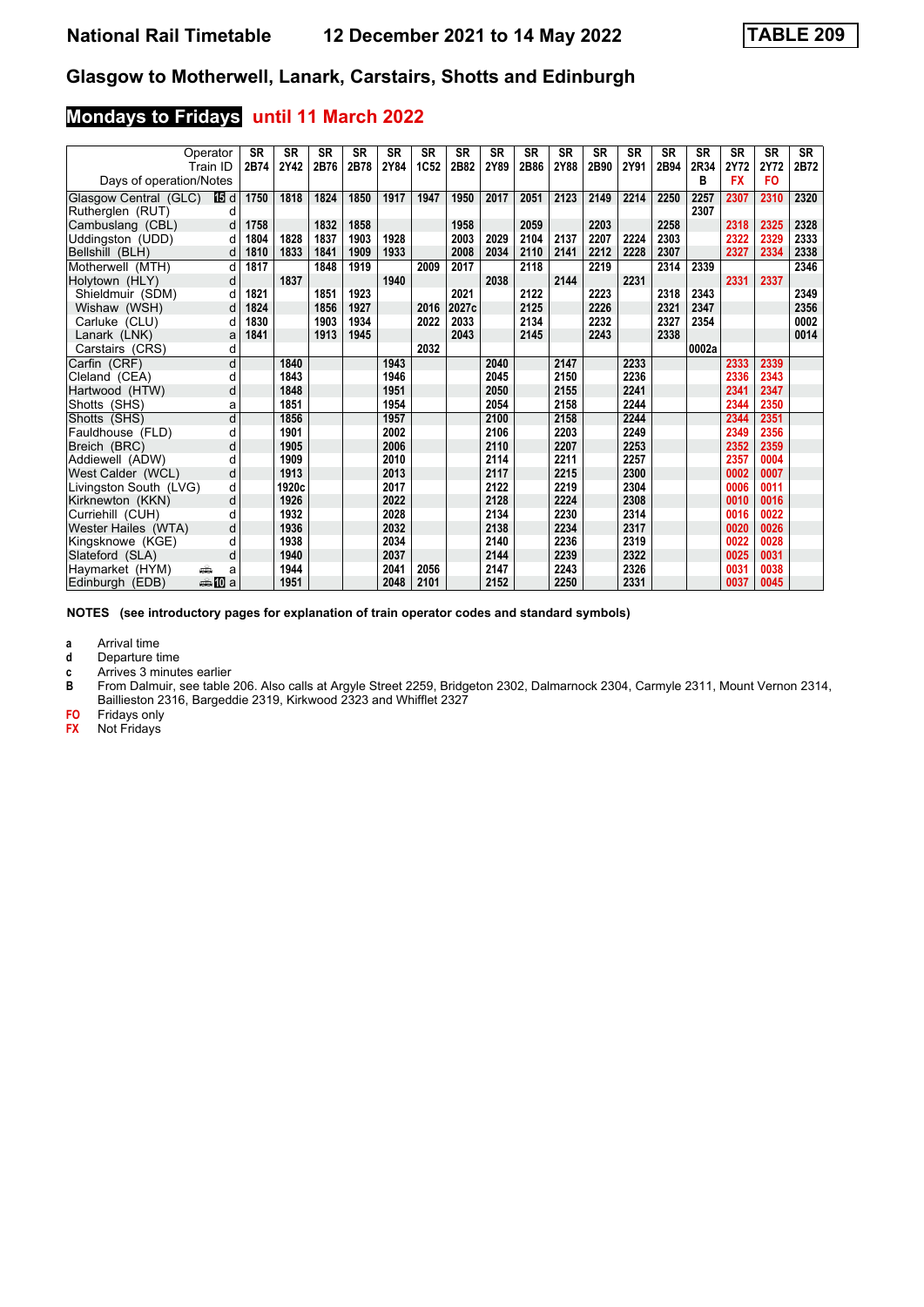# **Mondays to Fridays until 11 March 2022**

|                                           | Operator<br>Train ID | <b>SR</b><br>2B74 | <b>SR</b><br>2Y42 | <b>SR</b><br>2B76 | <b>SR</b><br>2B78 | <b>SR</b><br>2Y84 | <b>SR</b><br>1C52 | <b>SR</b><br>2B82 | <b>SR</b><br>2Y89 | <b>SR</b><br>2B86 | <b>SR</b><br>2Y88 | <b>SR</b><br>2B90 | <b>SR</b><br>2Y91 | <b>SR</b><br>2B94 | <b>SR</b><br>2R34 | <b>SR</b><br>2Y72 | <b>SR</b><br>2Y72 | SR<br>2B72 |
|-------------------------------------------|----------------------|-------------------|-------------------|-------------------|-------------------|-------------------|-------------------|-------------------|-------------------|-------------------|-------------------|-------------------|-------------------|-------------------|-------------------|-------------------|-------------------|------------|
| Days of operation/Notes                   |                      |                   |                   |                   |                   |                   |                   |                   |                   |                   |                   |                   |                   |                   | в                 | <b>FX</b>         | <b>FO</b>         |            |
| Glasgow Central (GLC)<br>Rutherglen (RUT) | 165 d<br>d           | 1750              | 1818              | 1824              | 1850              | 1917              | 1947              | 1950              | 2017              | 2051              | 2123              | 2149              | 2214              | 2250              | 2257<br>2307      | 2307              | 2310              | 2320       |
| Cambuslang (CBL)                          | d                    | 1758              |                   | 1832              | 1858              |                   |                   | 1958              |                   | 2059              |                   | 2203              |                   | 2258              |                   | 2318              | 2325              | 2328       |
| Uddingston (UDD)                          | d                    | 1804              | 1828              | 1837              | 1903              | 1928              |                   | 2003              | 2029              | 2104              | 2137              | 2207              | 2224              | 2303              |                   | 2322              | 2329              | 2333       |
| Bellshill (BLH)                           | d                    | 1810              | 1833              | 1841              | 1909              | 1933              |                   | 2008              | 2034              | 2110              | 2141              | 2212              | 2228              | 2307              |                   | 2327              | 2334              | 2338       |
| Motherwell (MTH)                          | d                    | 1817              |                   | 1848              | 1919              |                   | 2009              | 2017              |                   | 2118              |                   | 2219              |                   | 2314              | 2339              |                   |                   | 2346       |
| Holytown (HLY)                            | d                    |                   | 1837              |                   |                   | 1940              |                   |                   | 2038              |                   | 2144              |                   | 2231              |                   |                   | 2331              | 2337              |            |
| Shieldmuir (SDM)                          | d                    | 1821              |                   | 1851              | 1923              |                   |                   | 2021              |                   | 2122              |                   | 2223              |                   | 2318              | 2343              |                   |                   | 2349       |
| Wishaw (WSH)                              | d                    | 1824              |                   | 1856              | 1927              |                   | 2016              | 2027c             |                   | 2125              |                   | 2226              |                   | 2321              | 2347              |                   |                   | 2356       |
| Carluke (CLU)                             | d                    | 1830              |                   | 1903              | 1934              |                   | 2022              | 2033              |                   | 2134              |                   | 2232              |                   | 2327              | 2354              |                   |                   | 0002       |
| Lanark (LNK)                              | a                    | 1841              |                   | 1913              | 1945              |                   |                   | 2043              |                   | 2145              |                   | 2243              |                   | 2338              |                   |                   |                   | 0014       |
| Carstairs (CRS)                           | d                    |                   |                   |                   |                   |                   | 2032              |                   |                   |                   |                   |                   |                   |                   | 0002a             |                   |                   |            |
| Carfin (CRF)                              | d                    |                   | 1840              |                   |                   | 1943              |                   |                   | 2040              |                   | 2147              |                   | 2233              |                   |                   | 2333              | 2339              |            |
| Cleland (CEA)                             | d                    |                   | 1843              |                   |                   | 1946              |                   |                   | 2045              |                   | 2150              |                   | 2236              |                   |                   | 2336              | 2343              |            |
| Hartwood (HTW)                            | d                    |                   | 1848              |                   |                   | 1951              |                   |                   | 2050              |                   | 2155              |                   | 2241              |                   |                   | 2341              | 2347              |            |
| Shotts (SHS)                              | a                    |                   | 1851              |                   |                   | 1954              |                   |                   | 2054              |                   | 2158              |                   | 2244              |                   |                   | 2344              | 2350              |            |
| Shotts (SHS)                              | d                    |                   | 1856              |                   |                   | 1957              |                   |                   | 2100              |                   | 2158              |                   | 2244              |                   |                   | 2344              | 2351              |            |
| Fauldhouse (FLD)                          | d                    |                   | 1901              |                   |                   | 2002              |                   |                   | 2106              |                   | 2203              |                   | 2249              |                   |                   | 2349              | 2356              |            |
| Breich (BRC)                              | d                    |                   | 1905              |                   |                   | 2006              |                   |                   | 2110              |                   | 2207              |                   | 2253              |                   |                   | 2352              | 2359              |            |
| Addiewell (ADW)                           | d                    |                   | 1909              |                   |                   | 2010              |                   |                   | 2114              |                   | 2211              |                   | 2257              |                   |                   | 2357              | 0004              |            |
| West Calder (WCL)                         | d                    |                   | 1913              |                   |                   | 2013              |                   |                   | 2117              |                   | 2215              |                   | 2300              |                   |                   | 0002              | 0007              |            |
| Livingston South (LVG)                    | d                    |                   | 1920c             |                   |                   | 2017              |                   |                   | 2122              |                   | 2219              |                   | 2304              |                   |                   | 0006              | 0011              |            |
| Kirknewton (KKN)                          | d                    |                   | 1926              |                   |                   | 2022              |                   |                   | 2128              |                   | 2224              |                   | 2308              |                   |                   | 0010              | 0016              |            |
| Curriehill (CUH)                          | d                    |                   | 1932              |                   |                   | 2028              |                   |                   | 2134              |                   | 2230              |                   | 2314              |                   |                   | 0016              | 0022              |            |
| Wester Hailes (WTA)                       | d                    |                   | 1936              |                   |                   | 2032              |                   |                   | 2138              |                   | 2234              |                   | 2317              |                   |                   | 0020              | 0026              |            |
| Kingsknowe (KGE)                          | d                    |                   | 1938              |                   |                   | 2034              |                   |                   | 2140              |                   | 2236              |                   | 2319              |                   |                   | 0022              | 0028              |            |
| Slateford (SLA)                           | d                    |                   | 1940              |                   |                   | 2037              |                   |                   | 2144              |                   | 2239              |                   | 2322              |                   |                   | 0025              | 0031              |            |
| Havmarket (HYM)                           | پیشته<br>a           |                   | 1944              |                   |                   | 2041              | 2056              |                   | 2147              |                   | 2243              |                   | 2326              |                   |                   | 0031              | 0038              |            |
| Edinburgh (EDB)                           | den <b>in</b> a      |                   | 1951              |                   |                   | 2048              | 2101              |                   | 2152              |                   | 2250              |                   | 2331              |                   |                   | 0037              | 0045              |            |

**NOTES (see introductory pages for explanation of train operator codes and standard symbols)**

**a** Arrival time<br>**d** Departure t

- **d** Departure time
- **c** Arrives 3 minutes earlier<br>**B** From Dalmuir, see table
- From Dalmuir, see table 206. Also calls at Argyle Street 2259, Bridgeton 2302, Dalmarnock 2304, Carmyle 2311, Mount Vernon 2314, Baillieston 2316, Bargeddie 2319, Kirkwood 2323 and Whifflet 2327
- **FO** Fridays only
- **FX** Not Fridays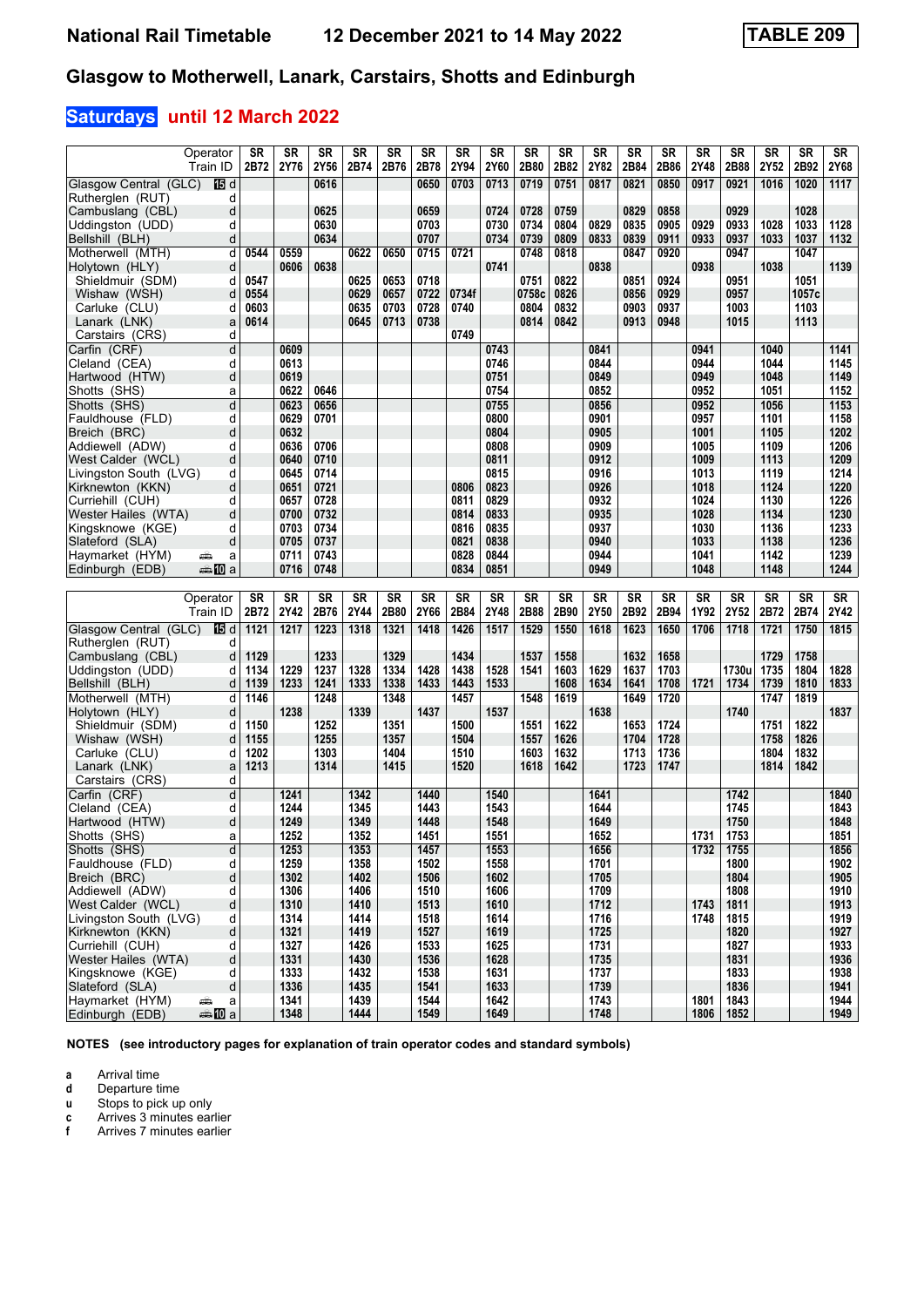# **Saturdays until 12 March 2022**

| Operator                                                          | <b>SR</b>    | <b>SR</b>    | <b>SR</b>    | <b>SR</b>    | <b>SR</b>    | <b>SR</b>    | <b>SR</b>    | <b>SR</b>    | <b>SR</b>    | <b>SR</b>    | <b>SR</b>    | <b>SR</b>    | <b>SR</b>    | <b>SR</b>    | <b>SR</b>    | <b>SR</b>    | <b>SR</b>    | $\overline{\text{SR}}$ |
|-------------------------------------------------------------------|--------------|--------------|--------------|--------------|--------------|--------------|--------------|--------------|--------------|--------------|--------------|--------------|--------------|--------------|--------------|--------------|--------------|------------------------|
| Train ID                                                          | 2B72         | 2Y76         | 2Y56         | 2B74         | 2B76         | 2B78         | 2Y94         | 2Y60         | 2B80         | 2B82         | 2Y82         | 2B84         | 2B86         | 2Y48         | 2B88         | 2Y52         | 2B92         | 2Y68                   |
| Glasgow Central (GLC)<br>16 d                                     |              |              | 0616         |              |              | 0650         | 0703         | 0713         | 0719         | 0751         | 0817         | 0821         | 0850         | 0917         | 0921         | 1016         | 1020         | $1117$                 |
| Rutheralen (RUT)<br>d                                             |              |              |              |              |              |              |              |              |              |              |              |              |              |              |              |              |              |                        |
| Cambuslang (CBL)<br>d                                             |              |              | 0625         |              |              | 0659         |              | 0724         | 0728         | 0759         |              | 0829         | 0858         |              | 0929         |              | 1028         |                        |
| Uddingston (UDD)<br>d                                             |              |              | 0630         |              |              | 0703         |              | 0730         | 0734         | 0804         | 0829         | 0835         | 0905         | 0929         | 0933         | 1028         | 1033         | 1128                   |
| Bellshill (BLH)<br>d                                              |              |              | 0634         |              |              | 0707         |              | 0734         | 0739         | 0809         | 0833         | 0839         | 0911         | 0933         | 0937         | 1033         | 1037         | 1132                   |
| Motherwell (MTH)<br>d                                             | 0544         | 0559         |              | 0622         | 0650         | 0715         | 0721         |              | 0748         | 0818         |              | 0847         | 0920         |              | 0947         |              | 1047         |                        |
| Holytown (HLY)<br>d                                               |              | 0606         | 0638         |              |              |              |              | 0741         |              |              | 0838         |              |              | 0938         |              | 1038         |              | 1139                   |
| Shieldmuir (SDM)<br>d                                             | 0547         |              |              | 0625         | 0653         | 0718         |              |              | 0751         | 0822         |              | 0851         | 0924         |              | 0951         |              | 1051         |                        |
| Wishaw (WSH)<br>d                                                 | 0554         |              |              | 0629         | 0657         | 0722         | 0734f        |              | 0758c        | 0826         |              | 0856         | 0929         |              | 0957         |              | 1057c        |                        |
| Carluke (CLU)<br>d                                                | 0603         |              |              | 0635         | 0703         | 0728         | 0740         |              | 0804         | 0832         |              | 0903         | 0937         |              | 1003         |              | 1103         |                        |
| Lanark (LNK)<br>a                                                 | 0614         |              |              | 0645         | 0713         | 0738         |              |              | 0814         | 0842         |              | 0913         | 0948         |              | 1015         |              | 1113         |                        |
| Carstairs (CRS)<br>d                                              |              |              |              |              |              |              | 0749         |              |              |              |              |              |              |              |              |              |              |                        |
| Carfin (CRF)<br>d                                                 |              | 0609         |              |              |              |              |              | 0743         |              |              | 0841         |              |              | 0941         |              | 1040         |              | 1141                   |
| d<br>Cleland (CEA)                                                |              | 0613         |              |              |              |              |              | 0746         |              |              | 0844         |              |              | 0944         |              | 1044         |              | 1145                   |
| d<br>Hartwood (HTW)                                               |              | 0619         |              |              |              |              |              | 0751         |              |              | 0849         |              |              | 0949         |              | 1048         |              | 1149                   |
| Shotts (SHS)<br>a                                                 |              | 0622         | 0646         |              |              |              |              | 0754         |              |              | 0852         |              |              | 0952         |              | 1051         |              | 1152                   |
| d<br>Shotts (SHS)                                                 |              | 0623         | 0656         |              |              |              |              | 0755         |              |              | 0856         |              |              | 0952         |              | 1056         |              | 1153                   |
| d<br>Fauldhouse (FLD)                                             |              | 0629         | 0701         |              |              |              |              | 0800         |              |              | 0901         |              |              | 0957         |              | 1101         |              | 1158                   |
| Breich (BRC)<br>d                                                 |              | 0632         |              |              |              |              |              | 0804         |              |              | 0905         |              |              | 1001         |              | 1105         |              | 1202                   |
| Addiewell (ADW)<br>d                                              |              | 0636         | 0706         |              |              |              |              | 0808         |              |              | 0909         |              |              | 1005         |              | 1109         |              | 1206                   |
| West Calder (WCL)<br>d                                            |              | 0640         | 0710         |              |              |              |              | 0811         |              |              | 0912         |              |              | 1009         |              | 1113         |              | 1209                   |
| d<br>Livingston South (LVG)                                       |              | 0645         | 0714         |              |              |              |              | 0815         |              |              | 0916         |              |              | 1013         |              | 1119         |              | 1214                   |
| d<br>Kirknewton (KKN)                                             |              | 0651         | 0721         |              |              |              | 0806         | 0823         |              |              | 0926         |              |              | 1018         |              | 1124         |              | 1220                   |
| d<br>Curriehill (CUH)                                             |              | 0657         | 0728         |              |              |              | 0811         | 0829         |              |              | 0932         |              |              | 1024         |              | 1130         |              | 1226                   |
| Wester Hailes (WTA)<br>d                                          |              | 0700         | 0732         |              |              |              | 0814         | 0833         |              |              | 0935         |              |              | 1028         |              | 1134         |              | 1230                   |
| Kingsknowe (KGE)<br>d                                             |              | 0703         | 0734         |              |              |              | 0816         | 0835         |              |              | 0937         |              |              | 1030         |              | 1136         |              | 1233                   |
| Slateford (SLA)<br>d                                              |              | 0705         | 0737         |              |              |              | 0821         | 0838         |              |              | 0940         |              |              | 1033         |              | 1138         |              | 1236                   |
| Haymarket (HYM)<br>a<br>پښتو                                      |              | 0711         | 0743         |              |              |              | 0828         | 0844         |              |              | 0944         |              |              | 1041         |              | 1142         |              | 1239                   |
| dannan mann<br>Edinburgh (EDB)                                    |              | 0716         | 0748         |              |              |              | 0834         | 0851         |              |              | 0949         |              |              | 1048         |              | 1148         |              | 1244                   |
|                                                                   |              |              |              |              |              |              |              |              |              |              |              |              |              |              |              |              |              |                        |
|                                                                   |              |              |              |              |              |              |              |              |              |              |              |              |              |              |              |              | <b>SR</b>    |                        |
| Operator                                                          | <b>SR</b>    | <b>SR</b>    | <b>SR</b>    | <b>SR</b>    | <b>SR</b>    | <b>SR</b>    | <b>SR</b>    | <b>SR</b>    | <b>SR</b>    | <b>SR</b>    | <b>SR</b>    | <b>SR</b>    | <b>SR</b>    | <b>SR</b>    | <b>SR</b>    | <b>SR</b>    |              | <b>SR</b>              |
| Train ID                                                          | 2B72         | 2Y42         | 2B76         | 2Y44         | 2B80         | 2Y66         | 2B84         | 2Y48         | 2B88         | 2B90         | 2Y50         | 2B92         | 2B94         | 1Y92         | 2Y52         | 2B72         | 2B74         | 2Y42                   |
| Glasgow Central (GLC)<br>16 d                                     | 1121         | 1217         | 1223         | 1318         | 1321         | 1418         | 1426         | 1517         | 1529         | 1550         | 1618         | 1623         | 1650         | 1706         | 1718         | 1721         | 1750         | 1815                   |
| Rutherglen (RUT)<br>d                                             |              |              |              |              |              |              |              |              |              |              |              |              |              |              |              |              |              |                        |
| Cambuslang (CBL)<br>d                                             | 1129         |              | 1233         |              | 1329         |              | 1434         |              | 1537         | 1558         |              | 1632         | 1658         |              |              | 1729         | 1758         |                        |
| Uddingston (UDD)<br>d                                             | 1134         | 1229         | 1237         | 1328         | 1334         | 1428         | 1438         | 1528         | 1541         | 1603         | 1629         | 1637         | 1703         |              | 1730u        | 1735         | 1804         | 1828                   |
| Bellshill (BLH)<br>d                                              | 1139         | 1233         | 1241         | 1333         | 1338         | 1433         | 1443         | 1533         |              | 1608         | 1634         | 1641         | 1708         | 1721         | 1734         | 1739         | 1810         | 1833                   |
| d<br>Motherwell (MTH)                                             | 1146         |              | 1248         |              | 1348         |              | 1457         |              | 1548         | 1619         |              | 1649         | 1720         |              |              | 1747         | 1819         |                        |
| Holytown (HLY)<br>d                                               |              | 1238         |              | 1339         |              | 1437         |              | 1537         |              |              | 1638         |              |              |              | 1740         |              |              | 1837                   |
| Shieldmuir (SDM)<br>d                                             | 1150         |              | 1252         |              | 1351         |              | 1500         |              | 1551         | 1622         |              | 1653         | 1724         |              |              | 1751         | 1822         |                        |
| Wishaw (WSH)<br>d                                                 | 1155         |              | 1255         |              | 1357         |              | 1504         |              | 1557         | 1626         |              | 1704         | 1728         |              |              | 1758         | 1826         |                        |
| Carluke (CLU)<br>d<br>Lanark (LNK)<br>a                           | 1202<br>1213 |              | 1303<br>1314 |              | 1404<br>1415 |              | 1510<br>1520 |              | 1603<br>1618 | 1632<br>1642 |              | 1713<br>1723 | 1736<br>1747 |              |              | 1804<br>1814 | 1832<br>1842 |                        |
| Carstairs (CRS)<br>d                                              |              |              |              |              |              |              |              |              |              |              |              |              |              |              |              |              |              |                        |
| d<br>Carfin (CRF)                                                 |              | 1241         |              | 1342         |              | 1440         |              | 1540         |              |              | 1641         |              |              |              | 1742         |              |              | 1840                   |
| Cleland (CEA)<br>d                                                |              | 1244         |              | 1345         |              | 1443         |              | 1543         |              |              | 1644         |              |              |              | 1745         |              |              | 1843                   |
| d<br>Hartwood (HTW)                                               |              | 1249         |              | 1349         |              | 1448         |              | 1548         |              |              | 1649         |              |              |              | 1750         |              |              | 1848                   |
| Shotts (SHS)<br>a                                                 |              | 1252         |              | 1352         |              | 1451         |              | 1551         |              |              | 1652         |              |              | 1731         | 1753         |              |              | 1851                   |
| Shotts (SHS)<br>d                                                 |              | 1253         |              | 1353         |              | 1457         |              | 1553         |              |              | 1656         |              |              | 1732         | 1755         |              |              | 1856                   |
| d<br>Fauldhouse (FLD)                                             |              | 1259         |              | 1358         |              | 1502         |              | 1558         |              |              | 1701         |              |              |              | 1800         |              |              | 1902                   |
| Breich (BRC)<br>d                                                 |              | 1302         |              | 1402         |              | 1506         |              | 1602         |              |              | 1705         |              |              |              | 1804         |              |              | 1905                   |
| Addiewell (ADW)<br>d                                              |              | 1306         |              | 1406         |              | 1510         |              | 1606         |              |              | 1709         |              |              |              | 1808         |              |              | 1910                   |
| West Calder (WCL)<br>d                                            |              | 1310         |              | 1410         |              | 1513         |              | 1610         |              |              | 1712         |              |              | 1743         | 1811         |              |              | 1913                   |
| Livingston South (LVG)<br>d                                       |              | 1314         |              | 1414         |              | 1518         |              | 1614         |              |              | 1716         |              |              | 1748         | 1815         |              |              | 1919                   |
| Kirknewton (KKN)<br>d                                             |              | 1321         |              | 1419         |              | 1527         |              | 1619         |              |              | 1725         |              |              |              | 1820         |              |              | 1927                   |
| Curriehill (CUH)<br>d                                             |              | 1327         |              | 1426         |              | 1533         |              | 1625         |              |              | 1731         |              |              |              | 1827         |              |              | 1933                   |
| Wester Hailes (WTA)<br>d                                          |              | 1331         |              | 1430         |              | 1536         |              | 1628         |              |              | 1735         |              |              |              | 1831         |              |              | 1936                   |
| Kingsknowe (KGE)<br>d                                             |              | 1333         |              | 1432         |              | 1538         |              | 1631         |              |              | 1737         |              |              |              | 1833         |              |              | 1938                   |
| d<br>Slateford (SLA)                                              |              | 1336         |              | 1435         |              | 1541         |              | 1633         |              |              | 1739         |              |              |              | 1836         |              |              | 1941                   |
| Haymarket (HYM)<br>a<br>æ<br>Edinburgh (EDB)<br><del>⊯</del> n Da |              | 1341<br>1348 |              | 1439<br>1444 |              | 1544<br>1549 |              | 1642<br>1649 |              |              | 1743<br>1748 |              |              | 1801<br>1806 | 1843<br>1852 |              |              | 1944<br>1949           |

**NOTES (see introductory pages for explanation of train operator codes and standard symbols)**

**a** Arrival time<br>**d** Departure ti

**d** Departure time

**u** Stops to pick up only

**c** Arrives 3 minutes earlier **c** Arrives 3 minutes earlier<br>**f** Arrives 7 minutes earlier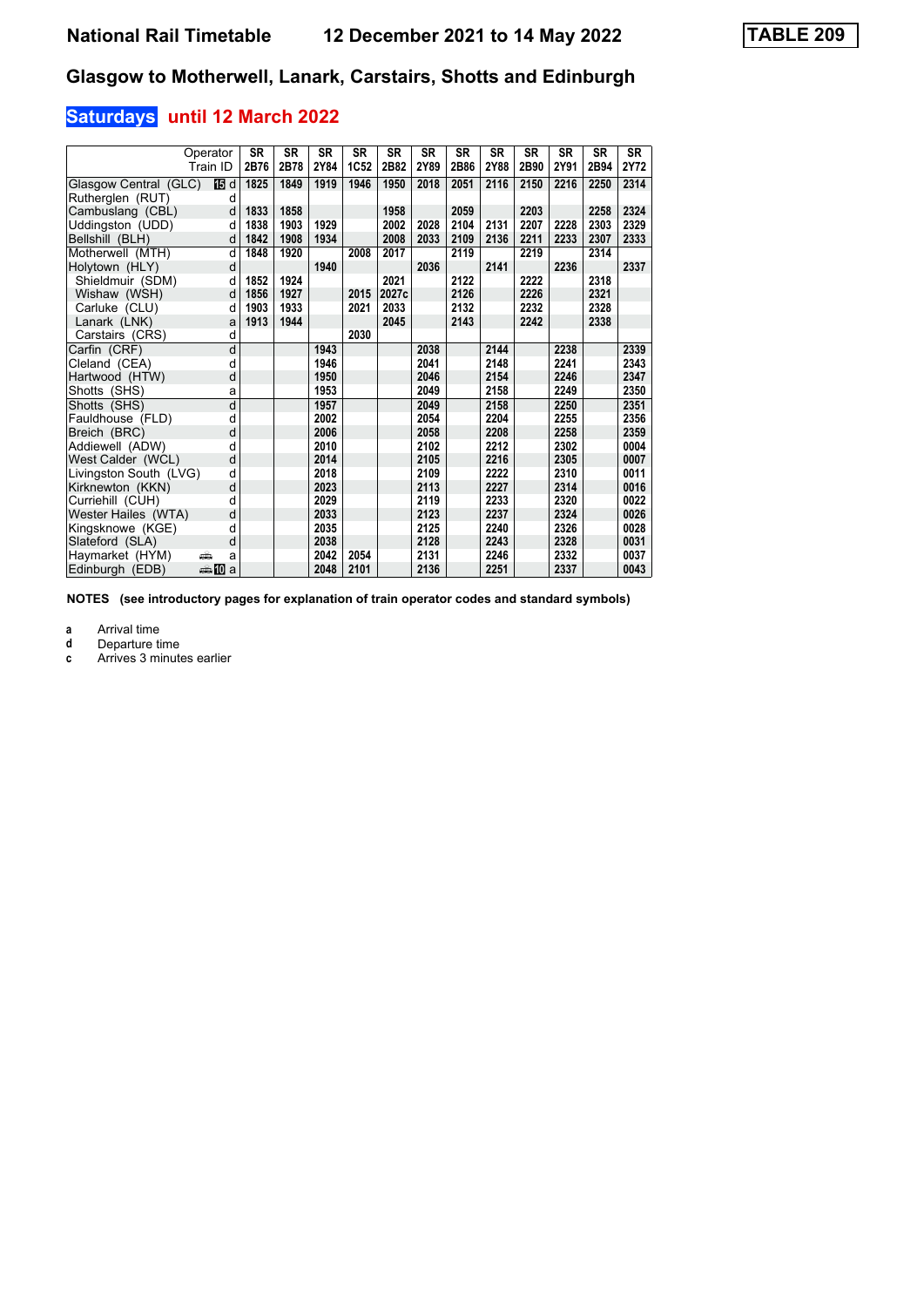# **Saturdays until 12 March 2022**

|                        | Operator<br>Train ID  | <b>SR</b><br>2B76 | <b>SR</b><br>2B78 | <b>SR</b><br>2Y84 | <b>SR</b><br>1C52 | <b>SR</b><br>2B82 | <b>SR</b><br>2Y89 | <b>SR</b><br>2B86 | <b>SR</b><br>2Y88 | <b>SR</b><br>2B90 | <b>SR</b><br>2Y91 | <b>SR</b><br>2B94 | <b>SR</b><br>2Y72 |
|------------------------|-----------------------|-------------------|-------------------|-------------------|-------------------|-------------------|-------------------|-------------------|-------------------|-------------------|-------------------|-------------------|-------------------|
| Glasgow Central (GLC)  | 15 d                  | 1825              | 1849              | 1919              | 1946              | 1950              | 2018              | 2051              | 2116              | 2150              | 2216              | 2250              | 2314              |
| Rutherglen (RUT)       | d                     |                   |                   |                   |                   |                   |                   |                   |                   |                   |                   |                   |                   |
| Cambuslang (CBL)       | d                     | 1833              | 1858              |                   |                   | 1958              |                   | 2059              |                   | 2203              |                   | 2258              | 2324              |
| Uddingston (UDD)       | d                     | 1838              | 1903              | 1929              |                   | 2002              | 2028              | 2104              | 2131              | 2207              | 2228              | 2303              | 2329              |
| Bellshill (BLH)        | d                     | 1842              | 1908              | 1934              |                   | 2008              | 2033              | 2109              | 2136              | 2211              | 2233              | 2307              | 2333              |
| Motherwell (MTH)       | d                     | 1848              | 1920              |                   | 2008              | 2017              |                   | 2119              |                   | 2219              |                   | 2314              |                   |
| Holytown (HLY)         | d                     |                   |                   | 1940              |                   |                   | 2036              |                   | 2141              |                   | 2236              |                   | 2337              |
| Shieldmuir (SDM)       | d                     | 1852              | 1924              |                   |                   | 2021              |                   | 2122              |                   | 2222              |                   | 2318              |                   |
| Wishaw (WSH)           | d                     | 1856              | 1927              |                   | 2015              | 2027c             |                   | 2126              |                   | 2226              |                   | 2321              |                   |
| Carluke (CLU)          | d                     | 1903              | 1933              |                   | 2021              | 2033              |                   | 2132              |                   | 2232              |                   | 2328              |                   |
| Lanark (LNK)           | a                     | 1913              | 1944              |                   |                   | 2045              |                   | 2143              |                   | 2242              |                   | 2338              |                   |
| Carstairs (CRS)        | d                     |                   |                   |                   | 2030              |                   |                   |                   |                   |                   |                   |                   |                   |
| Carfin (CRF)           | d                     |                   |                   | 1943              |                   |                   | 2038              |                   | 2144              |                   | 2238              |                   | 2339              |
| Cleland (CEA)          | d                     |                   |                   | 1946              |                   |                   | 2041              |                   | 2148              |                   | 2241              |                   | 2343              |
| Hartwood (HTW)         | d                     |                   |                   | 1950              |                   |                   | 2046              |                   | 2154              |                   | 2246              |                   | 2347              |
| Shotts (SHS)           | a                     |                   |                   | 1953              |                   |                   | 2049              |                   | 2158              |                   | 2249              |                   | 2350              |
| Shotts (SHS)           | d                     |                   |                   | 1957              |                   |                   | 2049              |                   | 2158              |                   | 2250              |                   | 2351              |
| Fauldhouse (FLD)       | d                     |                   |                   | 2002              |                   |                   | 2054              |                   | 2204              |                   | 2255              |                   | 2356              |
| Breich (BRC)           | d                     |                   |                   | 2006              |                   |                   | 2058              |                   | 2208              |                   | 2258              |                   | 2359              |
| Addiewell (ADW)        | d                     |                   |                   | 2010              |                   |                   | 2102              |                   | 2212              |                   | 2302              |                   | 0004              |
| West Calder (WCL)      | d                     |                   |                   | 2014              |                   |                   | 2105              |                   | 2216              |                   | 2305              |                   | 0007              |
| Livingston South (LVG) | d                     |                   |                   | 2018              |                   |                   | 2109              |                   | 2222              |                   | 2310              |                   | 0011              |
| Kirknewton (KKN)       | d                     |                   |                   | 2023              |                   |                   | 2113              |                   | 2227              |                   | 2314              |                   | 0016              |
| Curriehill (CUH)       | d                     |                   |                   | 2029              |                   |                   | 2119              |                   | 2233              |                   | 2320              |                   | 0022              |
| Wester Hailes (WTA)    | d                     |                   |                   | 2033              |                   |                   | 2123              |                   | 2237              |                   | 2324              |                   | 0026              |
| Kingsknowe (KGE)       | d                     |                   |                   | 2035              |                   |                   | 2125              |                   | 2240              |                   | 2326              |                   | 0028              |
| Slateford (SLA)        | d                     |                   |                   | 2038              |                   |                   | 2128              |                   | 2243              |                   | 2328              |                   | 0031              |
| Haymarket (HYM)        | æ<br>a                |                   |                   | 2042              | 2054              |                   | 2131              |                   | 2246              |                   | 2332              |                   | 0037              |
| Edinburgh (EDB)        | dan <mark>in</mark> a |                   |                   | 2048              | 2101              |                   | 2136              |                   | 2251              |                   | 2337              |                   | 0043              |

**NOTES (see introductory pages for explanation of train operator codes and standard symbols)**

**a** Arrival time<br>**d** Departure ti

**d** Departure time<br>**c** Arrives 3 minut

**c** Arrives 3 minutes earlier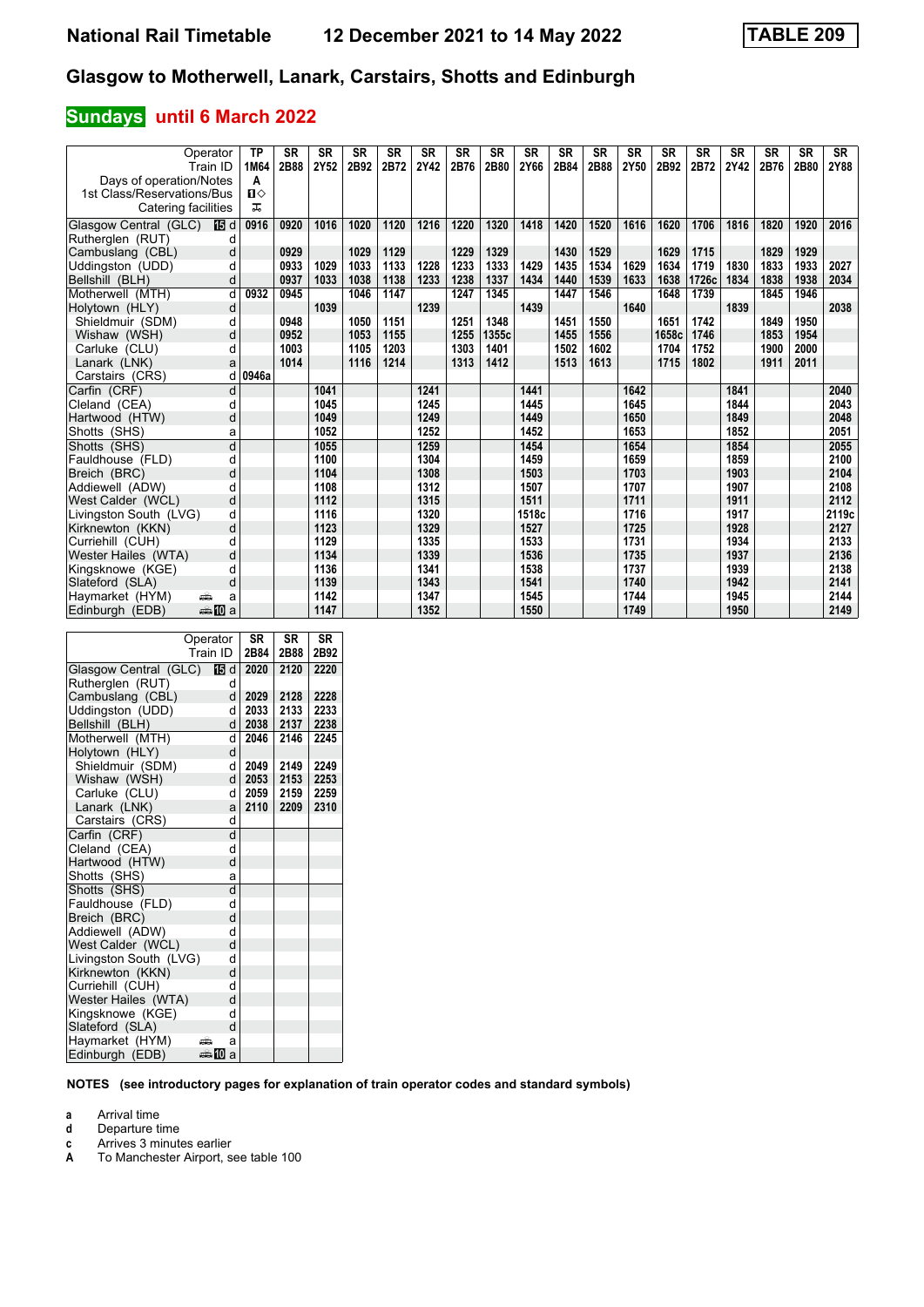# **Sundays until 6 March 2022**

| Operator                       | <b>TP</b>    | <b>SR</b> | <b>SR</b> | <b>SR</b> | <b>SR</b> | <b>SR</b> | <b>SR</b> | <b>SR</b> | <b>SR</b> | <b>SR</b> | <b>SR</b> | <b>SR</b> | <b>SR</b> | <b>SR</b> | <b>SR</b> | <b>SR</b> | <b>SR</b> | <b>SR</b> |
|--------------------------------|--------------|-----------|-----------|-----------|-----------|-----------|-----------|-----------|-----------|-----------|-----------|-----------|-----------|-----------|-----------|-----------|-----------|-----------|
| Train ID                       | 1M64         | 2B88      | 2Y52      | 2B92      | 2B72      | 2Y42      | 2B76      | 2B80      | 2Y66      | 2B84      | 2B88      | 2Y50      | 2B92      | 2B72      | 2Y42      | 2B76      | 2B80      | 2Y88      |
| Days of operation/Notes        | A            |           |           |           |           |           |           |           |           |           |           |           |           |           |           |           |           |           |
| 1st Class/Reservations/Bus     | $\mathbf{u}$ |           |           |           |           |           |           |           |           |           |           |           |           |           |           |           |           |           |
| Catering facilities            | ᅚ            |           |           |           |           |           |           |           |           |           |           |           |           |           |           |           |           |           |
| Glasgow Central (GLC)<br>阳d    | 0916         | 0920      | 1016      | 1020      | 1120      | 1216      | 1220      | 1320      | 1418      | 1420      | 1520      | 1616      | 1620      | 1706      | 1816      | 1820      | 1920      | 2016      |
| Rutherglen (RUT)<br>d          |              |           |           |           |           |           |           |           |           |           |           |           |           |           |           |           |           |           |
| Cambuslang (CBL)<br>d          |              | 0929      |           | 1029      | 1129      |           | 1229      | 1329      |           | 1430      | 1529      |           | 1629      | 1715      |           | 1829      | 1929      |           |
| Uddingston (UDD)<br>d          |              | 0933      | 1029      | 1033      | 1133      | 1228      | 1233      | 1333      | 1429      | 1435      | 1534      | 1629      | 1634      | 1719      | 1830      | 1833      | 1933      | 2027      |
| d<br>Bellshill (BLH)           |              | 0937      | 1033      | 1038      | 1138      | 1233      | 1238      | 1337      | 1434      | 1440      | 1539      | 1633      | 1638      | 1726c     | 1834      | 1838      | 1938      | 2034      |
| Motherwell (MTH)<br>d          | 0932         | 0945      |           | 1046      | 1147      |           | 1247      | 1345      |           | 1447      | 1546      |           | 1648      | 1739      |           | 1845      | 1946      |           |
| Holytown (HLY)<br>d            |              |           | 1039      |           |           | 1239      |           |           | 1439      |           |           | 1640      |           |           | 1839      |           |           | 2038      |
| Shieldmuir (SDM)<br>q          |              | 0948      |           | 1050      | 1151      |           | 1251      | 1348      |           | 1451      | 1550      |           | 1651      | 1742      |           | 1849      | 1950      |           |
| Wishaw (WSH)<br>d              |              | 0952      |           | 1053      | 1155      |           | 1255      | 1355c     |           | 1455      | 1556      |           | 1658c     | 1746      |           | 1853      | 1954      |           |
| Carluke (CLU)<br>d             |              | 1003      |           | 1105      | 1203      |           | 1303      | 1401      |           | 1502      | 1602      |           | 1704      | 1752      |           | 1900      | 2000      |           |
| Lanark (LNK)<br>a              |              | 1014      |           | 1116      | 1214      |           | 1313      | 1412      |           | 1513      | 1613      |           | 1715      | 1802      |           | 1911      | 2011      |           |
| Carstairs (CRS)<br>d           | 0946a        |           |           |           |           |           |           |           |           |           |           |           |           |           |           |           |           |           |
| Carfin (CRF)<br>d              |              |           | 1041      |           |           | 1241      |           |           | 1441      |           |           | 1642      |           |           | 1841      |           |           | 2040      |
| Cleland (CEA)<br>d             |              |           | 1045      |           |           | 1245      |           |           | 1445      |           |           | 1645      |           |           | 1844      |           |           | 2043      |
| d<br>Hartwood (HTW)            |              |           | 1049      |           |           | 1249      |           |           | 1449      |           |           | 1650      |           |           | 1849      |           |           | 2048      |
| Shotts (SHS)<br>a              |              |           | 1052      |           |           | 1252      |           |           | 1452      |           |           | 1653      |           |           | 1852      |           |           | 2051      |
| $\overline{d}$<br>Shotts (SHS) |              |           | 1055      |           |           | 1259      |           |           | 1454      |           |           | 1654      |           |           | 1854      |           |           | 2055      |
| Fauldhouse (FLD)<br>d          |              |           | 1100      |           |           | 1304      |           |           | 1459      |           |           | 1659      |           |           | 1859      |           |           | 2100      |
| d<br>Breich (BRC)              |              |           | 1104      |           |           | 1308      |           |           | 1503      |           |           | 1703      |           |           | 1903      |           |           | 2104      |
| Addiewell (ADW)<br>d           |              |           | 1108      |           |           | 1312      |           |           | 1507      |           |           | 1707      |           |           | 1907      |           |           | 2108      |
| d<br>West Calder (WCL)         |              |           | 1112      |           |           | 1315      |           |           | 1511      |           |           | 1711      |           |           | 1911      |           |           | 2112      |
| d<br>Livingston South (LVG)    |              |           | 1116      |           |           | 1320      |           |           | 1518c     |           |           | 1716      |           |           | 1917      |           |           | 2119c     |
| d<br>Kirknewton (KKN)          |              |           | 1123      |           |           | 1329      |           |           | 1527      |           |           | 1725      |           |           | 1928      |           |           | 2127      |
| Curriehill (CUH)<br>d          |              |           | 1129      |           |           | 1335      |           |           | 1533      |           |           | 1731      |           |           | 1934      |           |           | 2133      |
| Wester Hailes (WTA)<br>d       |              |           | 1134      |           |           | 1339      |           |           | 1536      |           |           | 1735      |           |           | 1937      |           |           | 2136      |
| Kingsknowe (KGE)<br>h          |              |           | 1136      |           |           | 1341      |           |           | 1538      |           |           | 1737      |           |           | 1939      |           |           | 2138      |
| d<br>Slateford (SLA)           |              |           | 1139      |           |           | 1343      |           |           | 1541      |           |           | 1740      |           |           | 1942      |           |           | 2141      |
| Haymarket (HYM)<br>پیش<br>a    |              |           | 1142      |           |           | 1347      |           |           | 1545      |           |           | 1744      |           |           | 1945      |           |           | 2144      |
| Edinburgh (EDB)<br>anna ma     |              |           | 1147      |           |           | 1352      |           |           | 1550      |           |           | 1749      |           |           | 1950      |           |           | 2149      |

|                        | Operator | SR   | <b>SR</b> | <b>SR</b> |
|------------------------|----------|------|-----------|-----------|
|                        | Train ID | 2B84 | 2B88      | 2B92      |
| Glasgow Central (GLC)  | 15 d     | 2020 | 2120      | 2220      |
| Rutheralen (RUT)       | d        |      |           |           |
| Cambuslang (CBL)       | d        | 2029 | 2128      | 2228      |
| Uddingston (UDD)       | d        | 2033 | 2133      | 2233      |
| Bellshill (BLH)        | d        | 2038 | 2137      | 2238      |
| Motherwell (MTH)       | d        | 2046 | 2146      | 2245      |
| Holytown (HLY)         | d        |      |           |           |
| Shieldmuir (SDM)       | d        | 2049 | 2149      | 2249      |
| Wishaw (WSH)           | d        | 2053 | 2153      | 2253      |
| Carluke (CLU)          | d        | 2059 | 2159      | 2259      |
| Lanark (LNK)           | a        | 2110 | 2209      | 2310      |
| Carstairs (CRS)        | d        |      |           |           |
| Carfin (CRF)           | d        |      |           |           |
| Cleland (CEA)          | d        |      |           |           |
| Hartwood (HTW)         | d        |      |           |           |
| Shotts (SHS)           | a        |      |           |           |
| Shotts (SHS)           | d        |      |           |           |
| Fauldhouse (FLD)       | d        |      |           |           |
| Breich (BRC)           | d        |      |           |           |
| Addiewell (ADW)        | d        |      |           |           |
| West Calder (WCL)      | d        |      |           |           |
| Livingston South (LVG) | d        |      |           |           |
| Kirknewton (KKN)       | d        |      |           |           |
| Curriehill (CUH)       | d        |      |           |           |
| Wester Hailes (WTA)    | d        |      |           |           |
| Kingsknowe (KGE)       | d        |      |           |           |
| Slateford (SLA)        | d        |      |           |           |
| Haymarket (HYM)        | a<br>аŭ  |      |           |           |
| Edinburgh (EDB)        | ♣Ю<br>a  |      |           |           |

**NOTES (see introductory pages for explanation of train operator codes and standard symbols)**

**a** Arrival time<br>**d** Departure t

**d** Departure time

**c** Arrives 3 minutes earlier

**A** To Manchester Airport, see table 100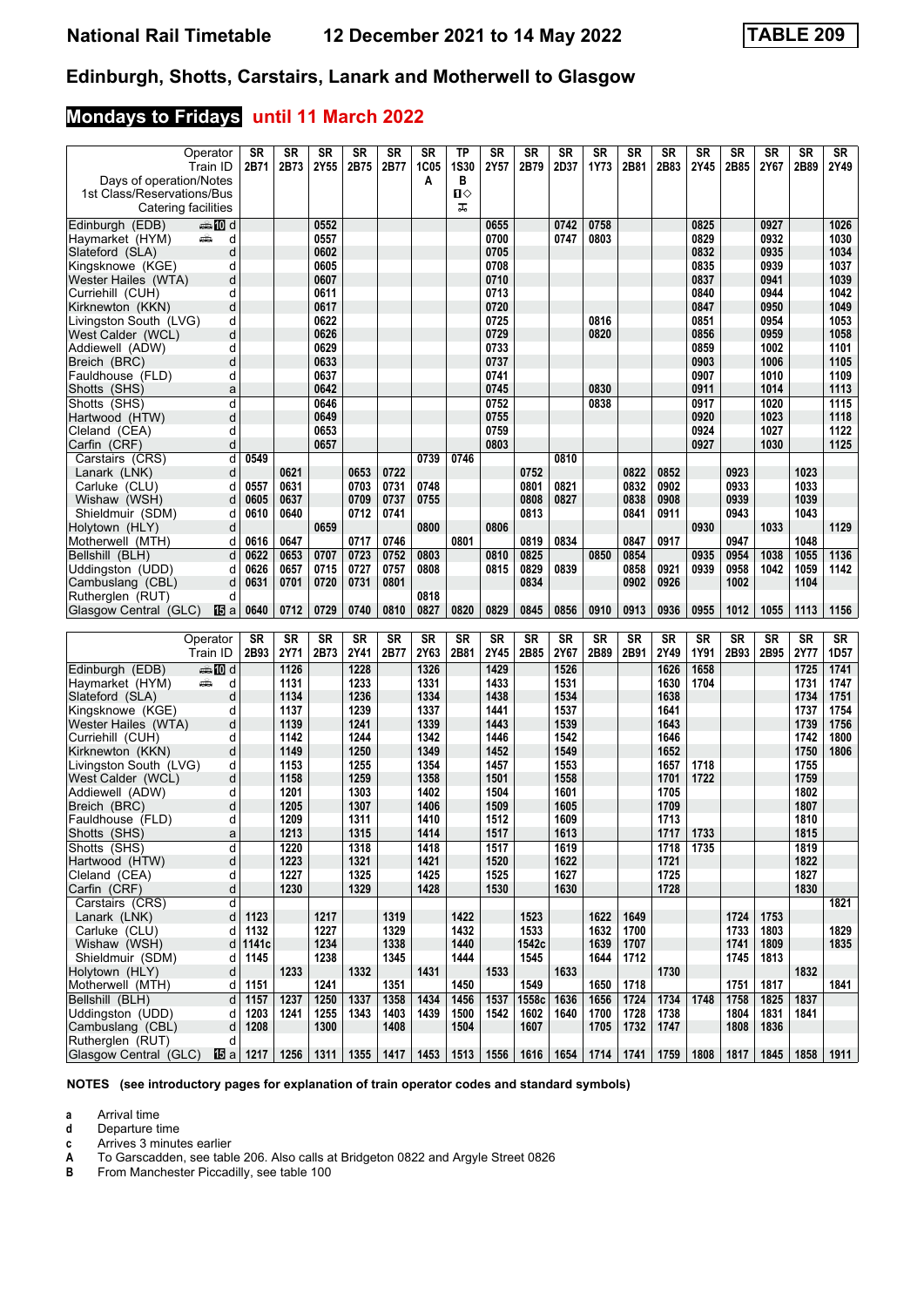# **Mondays to Fridays until 11 March 2022**

| Operator                            | <b>SR</b> | <b>SR</b> | <b>SR</b> | <b>SR</b> | <b>SR</b> | SR          | ΤP          | SR        | <b>SR</b> | SR        | <b>SR</b> | <b>SR</b> | SR   | SR   | <b>SR</b> | SR        | <b>SR</b> | SR               |
|-------------------------------------|-----------|-----------|-----------|-----------|-----------|-------------|-------------|-----------|-----------|-----------|-----------|-----------|------|------|-----------|-----------|-----------|------------------|
| Train ID                            | 2B71      | 2B73      | 2Y55      | 2B75      | 2B77      | <b>1C05</b> | <b>1S30</b> | 2Y57      | 2B79      | 2D37      | 1Y73      | 2B81      | 2B83 | 2Y45 | 2B85      | 2Y67      | 2B89      | 2Y49             |
| Days of operation/Notes             |           |           |           |           |           | A           | в           |           |           |           |           |           |      |      |           |           |           |                  |
| 1st Class/Reservations/Bus          |           |           |           |           |           |             | п⇔          |           |           |           |           |           |      |      |           |           |           |                  |
| Catering facilities                 |           |           |           |           |           |             | ᠼ           |           |           |           |           |           |      |      |           |           |           |                  |
| Edinburgh (EDB)<br>dan <b>in</b> d  |           |           | 0552      |           |           |             |             | 0655      |           | 0742      | 0758      |           |      | 0825 |           | 0927      |           | 1026             |
| Haymarket (HYM)<br>d<br>پیش         |           |           | 0557      |           |           |             |             | 0700      |           | 0747      | 0803      |           |      | 0829 |           | 0932      |           | 1030             |
| d<br>Slateford (SLA)                |           |           | 0602      |           |           |             |             | 0705      |           |           |           |           |      | 0832 |           | 0935      |           | 1034             |
| d<br>Kingsknowe (KGE)               |           |           | 0605      |           |           |             |             | 0708      |           |           |           |           |      | 0835 |           | 0939      |           | 1037             |
| d                                   |           |           | 0607      |           |           |             |             | 0710      |           |           |           |           |      | 0837 |           | 0941      |           | 1039             |
| Wester Hailes (WTA)<br>d            |           |           | 0611      |           |           |             |             | 0713      |           |           |           |           |      | 0840 |           | 0944      |           | 1042             |
| Curriehill (CUH)                    |           |           |           |           |           |             |             |           |           |           |           |           |      |      |           |           |           |                  |
| d<br>Kirknewton (KKN)               |           |           | 0617      |           |           |             |             | 0720      |           |           |           |           |      | 0847 |           | 0950      |           | 1049             |
| Livingston South (LVG)<br>d         |           |           | 0622      |           |           |             |             | 0725      |           |           | 0816      |           |      | 0851 |           | 0954      |           | 1053             |
| West Calder (WCL)<br>d              |           |           | 0626      |           |           |             |             | 0729      |           |           | 0820      |           |      | 0856 |           | 0959      |           | 1058             |
| d<br>Addiewell (ADW)                |           |           | 0629      |           |           |             |             | 0733      |           |           |           |           |      | 0859 |           | 1002      |           | 1101             |
| d<br>Breich (BRC)                   |           |           | 0633      |           |           |             |             | 0737      |           |           |           |           |      | 0903 |           | 1006      |           | 1105             |
| d<br>Fauldhouse (FLD)               |           |           | 0637      |           |           |             |             | 0741      |           |           |           |           |      | 0907 |           | 1010      |           | 1109             |
| Shotts (SHS)<br>a                   |           |           | 0642      |           |           |             |             | 0745      |           |           | 0830      |           |      | 0911 |           | 1014      |           | 1113             |
| Shotts (SHS)<br>d                   |           |           | 0646      |           |           |             |             | 0752      |           |           | 0838      |           |      | 0917 |           | 1020      |           | 1115             |
| Hartwood (HTW)<br>d                 |           |           | 0649      |           |           |             |             | 0755      |           |           |           |           |      | 0920 |           | 1023      |           | 1118             |
| Cleland (CEA)<br>d                  |           |           | 0653      |           |           |             |             | 0759      |           |           |           |           |      | 0924 |           | 1027      |           | 1122             |
| d<br>Carfin (CRF)                   |           |           | 0657      |           |           |             |             | 0803      |           |           |           |           |      | 0927 |           | 1030      |           | 1125             |
|                                     | 0549      |           |           |           |           | 0739        | 0746        |           |           | 0810      |           |           |      |      |           |           |           |                  |
| Carstairs (CRS)<br>d                |           |           |           |           |           |             |             |           |           |           |           |           |      |      |           |           |           |                  |
| Lanark (LNK)<br>d                   |           | 0621      |           | 0653      | 0722      |             |             |           | 0752      |           |           | 0822      | 0852 |      | 0923      |           | 1023      |                  |
| Carluke (CLU)<br>d                  | 0557      | 0631      |           | 0703      | 0731      | 0748        |             |           | 0801      | 0821      |           | 0832      | 0902 |      | 0933      |           | 1033      |                  |
| Wishaw (WSH)<br>d                   | 0605      | 0637      |           | 0709      | 0737      | 0755        |             |           | 0808      | 0827      |           | 0838      | 0908 |      | 0939      |           | 1039      |                  |
| Shieldmuir (SDM)<br>d               | 0610      | 0640      |           | 0712      | 0741      |             |             |           | 0813      |           |           | 0841      | 0911 |      | 0943      |           | 1043      |                  |
| d<br>Holytown (HLY)                 |           |           | 0659      |           |           | 0800        |             | 0806      |           |           |           |           |      | 0930 |           | 1033      |           | 1129             |
| Motherwell (MTH)<br>d               | 0616      | 0647      |           | 0717      | 0746      |             | 0801        |           | 0819      | 0834      |           | 0847      | 0917 |      | 0947      |           | 1048      |                  |
| Bellshill (BLH)<br>d                | 0622      | 0653      | 0707      | 0723      | 0752      | 0803        |             | 0810      | 0825      |           | 0850      | 0854      |      | 0935 | 0954      | 1038      | 1055      | 1136             |
| Uddingston (UDD)<br>d               | 0626      | 0657      | 0715      | 0727      | 0757      | 0808        |             | 0815      | 0829      | 0839      |           | 0858      | 0921 | 0939 | 0958      | 1042      | 1059      | 1142             |
| Cambuslang (CBL)<br>d               | 0631      | 0701      | 0720      | 0731      | 0801      |             |             |           | 0834      |           |           | 0902      | 0926 |      | 1002      |           | 1104      |                  |
| Rutherglen (RUT)<br>d               |           |           |           |           |           | 0818        |             |           |           |           |           |           |      |      |           |           |           |                  |
| Glasgow Central (GLC)<br>16 a       | 0640      | 0712      | 0729      | 0740      | 0810      | 0827        | 0820        | 0829      | 0845      | 0856      | 0910      | 0913      | 0936 | 0955 | 1012      | 1055      | 1113      | 1156             |
|                                     |           |           |           |           |           |             |             |           |           |           |           |           |      |      |           |           |           |                  |
|                                     |           |           |           |           |           |             |             |           |           |           |           |           |      |      |           |           |           |                  |
| Operator                            | <b>SR</b> | <b>SR</b> | <b>SR</b> | <b>SR</b> | <b>SR</b> | <b>SR</b>   | <b>SR</b>   | <b>SR</b> | SR        | <b>SR</b> | <b>SR</b> | <b>SR</b> | SR   | SR   | <b>SR</b> | <b>SR</b> | <b>SR</b> | SR               |
| Train ID                            | 2B93      | 2Y71      | 2B73      | 2Y41      | 2B77      | 2Y63        | 2B81        | 2Y45      | 2B85      | 2Y67      | 2B89      | 2B91      | 2Y49 | 1Y91 | 2B93      | 2B95      | 2Y77      | 1D <sub>57</sub> |
| Edinburgh (EDB)<br>dan <b>m</b> ill |           | 1126      |           | 1228      |           | 1326        |             | 1429      |           | 1526      |           |           | 1626 | 1658 |           |           | 1725      | 1741             |
| d<br>Haymarket (HYM)<br>پېښ         |           | 1131      |           | 1233      |           | 1331        |             | 1433      |           | 1531      |           |           | 1630 | 1704 |           |           | 1731      | 1747             |
| Slateford (SLA)<br>d                |           | 1134      |           | 1236      |           | 1334        |             | 1438      |           | 1534      |           |           | 1638 |      |           |           | 1734      | 1751             |
| Kingsknowe (KGE)<br>d               |           | 1137      |           | 1239      |           | 1337        |             | 1441      |           | 1537      |           |           | 1641 |      |           |           | 1737      | 1754             |
| Wester Hailes (WTA)<br>d            |           | 1139      |           | 1241      |           | 1339        |             | 1443      |           | 1539      |           |           | 1643 |      |           |           | 1739      | 1756             |
| Curriehill (CUH)<br>d               |           | 1142      |           | 1244      |           | 1342        |             | 1446      |           | 1542      |           |           | 1646 |      |           |           | 1742      | 1800             |
|                                     |           |           |           |           |           |             |             |           |           | 1549      |           |           |      |      |           |           | 1750      |                  |
| Kirknewton (KKN)<br>d               |           | 1149      |           | 1250      |           | 1349        |             | 1452      |           |           |           |           | 1652 |      |           |           |           | 1806             |
| Livingston South (LVG)<br>d         |           | 1153      |           | 1255      |           | 1354        |             | 1457      |           | 1553      |           |           | 1657 | 1718 |           |           | 1755      |                  |
| West Calder (WCL)<br>d              |           | 1158      |           | 1259      |           | 1358        |             | 1501      |           | 1558      |           |           | 1701 | 1722 |           |           | 1759      |                  |
| Addiewell (ADW)<br>d                |           | 1201      |           | 1303      |           | 1402        |             | 1504      |           | 1601      |           |           | 1705 |      |           |           | 1802      |                  |
| Breich (BRC)<br>d                   |           | 1205      |           | 1307      |           | 1406        |             | 1509      |           | 1605      |           |           | 1709 |      |           |           | 1807      |                  |
| Fauldhouse (FLD)<br>d               |           | 1209      |           | 1311      |           | 1410        |             | 1512      |           | 1609      |           |           | 1713 |      |           |           | 1810      |                  |
| Shotts (SHS)<br>a                   |           | 1213      |           | 1315      |           | 1414        |             | 1517      |           | 1613      |           |           | 1717 | 1733 |           |           | 1815      |                  |
| Shotts (SHS)<br>d                   |           | 1220      |           | 1318      |           | 1418        |             | 1517      |           | 1619      |           |           | 1718 | 1735 |           |           | 1819      |                  |
| d<br>Hartwood (HTW)                 |           | 1223      |           | 1321      |           | 1421        |             | 1520      |           | 1622      |           |           | 1721 |      |           |           | 1822      |                  |
| Cleland (CEA)<br>d                  |           | 1227      |           | 1325      |           | 1425        |             | 1525      |           | 1627      |           |           | 1725 |      |           |           | 1827      |                  |
| Carfin (CRF)<br>d                   |           | 1230      |           | 1329      |           | 1428        |             | 1530      |           | 1630      |           |           | 1728 |      |           |           | 1830      |                  |
| Carstairs (CRS)<br>d                |           |           |           |           |           |             |             |           |           |           |           |           |      |      |           |           |           | 1821             |
| Lanark (LNK)<br>d                   | 1123      |           | 1217      |           | 1319      |             | 1422        |           | 1523      |           | 1622      | 1649      |      |      | 1724      | 1753      |           |                  |
|                                     |           |           |           |           |           |             |             |           |           |           |           |           |      |      |           |           |           |                  |
| Carluke (CLU)<br>d                  | 1132      |           | 1227      |           | 1329      |             | 1432        |           | 1533      |           | 1632      | 1700      |      |      | 1733      | 1803      |           | 1829             |
| Wishaw (WSH)<br>d                   | 1141c     |           | 1234      |           | 1338      |             | 1440        |           | 1542c     |           | 1639      | 1707      |      |      | 1741      | 1809      |           | 1835             |
| Shieldmuir (SDM)<br>d               | 1145      |           | 1238      |           | 1345      |             | 1444        |           | 1545      |           | 1644      | 1712      |      |      | 1745      | 1813      |           |                  |
| Holytown (HLY)<br>d                 |           | 1233      |           | 1332      |           | 1431        |             | 1533      |           | 1633      |           |           | 1730 |      |           |           | 1832      |                  |
| Motherwell (MTH)<br>d               | 1151      |           | 1241      |           | 1351      |             | 1450        |           | 1549      |           | 1650      | 1718      |      |      | 1751      | 1817      |           | 1841             |
| Bellshill (BLH)<br>d                | 1157      | 1237      | 1250      | 1337      | 1358      | 1434        | 1456        | 1537      | 1558c     | 1636      | 1656      | 1724      | 1734 | 1748 | 1758      | 1825      | 1837      |                  |
| Uddingston (UDD)<br>d               | 1203      | 1241      | 1255      | 1343      | 1403      | 1439        | 1500        | 1542      | 1602      | 1640      | 1700      | 1728      | 1738 |      | 1804      | 1831      | 1841      |                  |
| Cambuslang (CBL)<br>d               | 1208      |           | 1300      |           | 1408      |             | 1504        |           | 1607      |           | 1705      | 1732      | 1747 |      | 1808      | 1836      |           |                  |
| Rutherglen (RUT)<br>d               |           |           |           |           |           |             |             |           |           |           |           |           |      |      |           |           |           |                  |
| Glasgow Central (GLC)<br>1951 al    | 1217      | 1256      | 1311      | 1355      | 1417      | 1453        | 1513        | 1556      | 1616      | 1654      | 1714      | 1741      | 1759 | 1808 | 1817      | 1845      | 1858      | 1911             |
|                                     |           |           |           |           |           |             |             |           |           |           |           |           |      |      |           |           |           |                  |

**NOTES (see introductory pages for explanation of train operator codes and standard symbols)**

**a** Arrival time<br>**d** Departure t

**d** Departure time<br>**c** Arrives 3 minute

**c** Arrives 3 minutes earlier<br>**A** To Garscadden, see table **A** To Garscadden, see table 206. Also calls at Bridgeton 0822 and Argyle Street 0826<br> **B** From Manchester Piccadilly, see table 100

**B** From Manchester Piccadilly, see table 100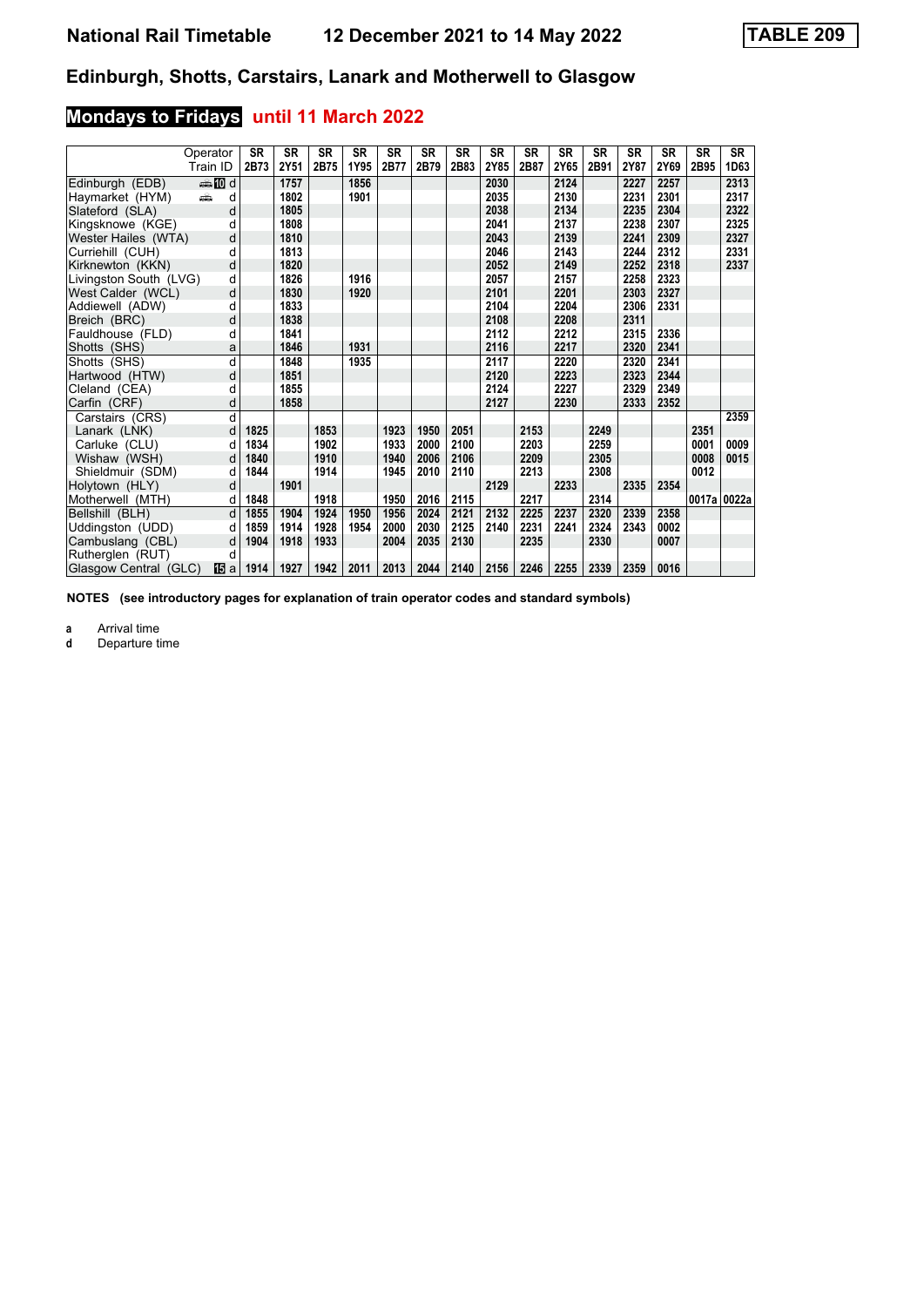# **Mondays to Fridays until 11 March 2022**

|                        | Operator       | <b>SR</b> | <b>SR</b> | <b>SR</b> | <b>SR</b> | <b>SR</b> | <b>SR</b> | <b>SR</b> | <b>SR</b> | <b>SR</b> | <b>SR</b> | <b>SR</b> | <b>SR</b> | <b>SR</b> | <b>SR</b> | <b>SR</b>   |
|------------------------|----------------|-----------|-----------|-----------|-----------|-----------|-----------|-----------|-----------|-----------|-----------|-----------|-----------|-----------|-----------|-------------|
|                        | Train ID       | 2B73      | 2Y51      | 2B75      | 1Y95      | 2B77      | 2B79      | 2B83      | 2Y85      | 2B87      | 2Y65      | 2B91      | 2Y87      | 2Y69      | 2B95      | 1D63        |
| Edinburgh (EDB)        | <b>ente</b> di |           | 1757      |           | 1856      |           |           |           | 2030      |           | 2124      |           | 2227      | 2257      |           | 2313        |
| Haymarket (HYM)        | añ,<br>d       |           | 1802      |           | 1901      |           |           |           | 2035      |           | 2130      |           | 2231      | 2301      |           | 2317        |
| Slateford (SLA)        | d              |           | 1805      |           |           |           |           |           | 2038      |           | 2134      |           | 2235      | 2304      |           | 2322        |
| Kingsknowe (KGE)       | d              |           | 1808      |           |           |           |           |           | 2041      |           | 2137      |           | 2238      | 2307      |           | 2325        |
| Wester Hailes (WTA)    | d              |           | 1810      |           |           |           |           |           | 2043      |           | 2139      |           | 2241      | 2309      |           | 2327        |
| Curriehill (CUH)       | q              |           | 1813      |           |           |           |           |           | 2046      |           | 2143      |           | 2244      | 2312      |           | 2331        |
| Kirknewton (KKN)       | d              |           | 1820      |           |           |           |           |           | 2052      |           | 2149      |           | 2252      | 2318      |           | 2337        |
| Livingston South (LVG) | d              |           | 1826      |           | 1916      |           |           |           | 2057      |           | 2157      |           | 2258      | 2323      |           |             |
| West Calder (WCL)      | d              |           | 1830      |           | 1920      |           |           |           | 2101      |           | 2201      |           | 2303      | 2327      |           |             |
| Addiewell (ADW)        | d              |           | 1833      |           |           |           |           |           | 2104      |           | 2204      |           | 2306      | 2331      |           |             |
| Breich (BRC)           | d              |           | 1838      |           |           |           |           |           | 2108      |           | 2208      |           | 2311      |           |           |             |
| Fauldhouse (FLD)       | d              |           | 1841      |           |           |           |           |           | 2112      |           | 2212      |           | 2315      | 2336      |           |             |
| Shotts (SHS)           | a              |           | 1846      |           | 1931      |           |           |           | 2116      |           | 2217      |           | 2320      | 2341      |           |             |
| Shotts (SHS)           | d              |           | 1848      |           | 1935      |           |           |           | 2117      |           | 2220      |           | 2320      | 2341      |           |             |
| Hartwood (HTW)         | d              |           | 1851      |           |           |           |           |           | 2120      |           | 2223      |           | 2323      | 2344      |           |             |
| Cleland (CEA)          | d              |           | 1855      |           |           |           |           |           | 2124      |           | 2227      |           | 2329      | 2349      |           |             |
| Carfin (CRF)           | d              |           | 1858      |           |           |           |           |           | 2127      |           | 2230      |           | 2333      | 2352      |           |             |
| Carstairs (CRS)        | d              |           |           |           |           |           |           |           |           |           |           |           |           |           |           | 2359        |
| Lanark (LNK)           | d              | 1825      |           | 1853      |           | 1923      | 1950      | 2051      |           | 2153      |           | 2249      |           |           | 2351      |             |
| Carluke (CLU)          | d              | 1834      |           | 1902      |           | 1933      | 2000      | 2100      |           | 2203      |           | 2259      |           |           | 0001      | 0009        |
| Wishaw (WSH)           | d              | 1840      |           | 1910      |           | 1940      | 2006      | 2106      |           | 2209      |           | 2305      |           |           | 0008      | 0015        |
| Shieldmuir (SDM)       | d              | 1844      |           | 1914      |           | 1945      | 2010      | 2110      |           | 2213      |           | 2308      |           |           | 0012      |             |
| Holytown (HLY)         | d              |           | 1901      |           |           |           |           |           | 2129      |           | 2233      |           | 2335      | 2354      |           |             |
| Motherwell (MTH)       | d              | 1848      |           | 1918      |           | 1950      | 2016      | 2115      |           | 2217      |           | 2314      |           |           |           | 0017a 0022a |
| Bellshill (BLH)        | $\mathsf{d}$   | 1855      | 1904      | 1924      | 1950      | 1956      | 2024      | 2121      | 2132      | 2225      | 2237      | 2320      | 2339      | 2358      |           |             |
| Uddingston (UDD)       | d              | 1859      | 1914      | 1928      | 1954      | 2000      | 2030      | 2125      | 2140      | 2231      | 2241      | 2324      | 2343      | 0002      |           |             |
| Cambuslang (CBL)       | d              | 1904      | 1918      | 1933      |           | 2004      | 2035      | 2130      |           | 2235      |           | 2330      |           | 0007      |           |             |
| Rutherglen (RUT)       | d              |           |           |           |           |           |           |           |           |           |           |           |           |           |           |             |
| Glasgow Central (GLC)  | 15日 all        | 1914      | 1927      | 1942      | 2011      | 2013      | 2044      | 2140      | 2156      | 2246      | 2255      | 2339      | 2359      | 0016      |           |             |

**NOTES (see introductory pages for explanation of train operator codes and standard symbols)**

**a** Arrival time<br>**d** Departure time

Departure time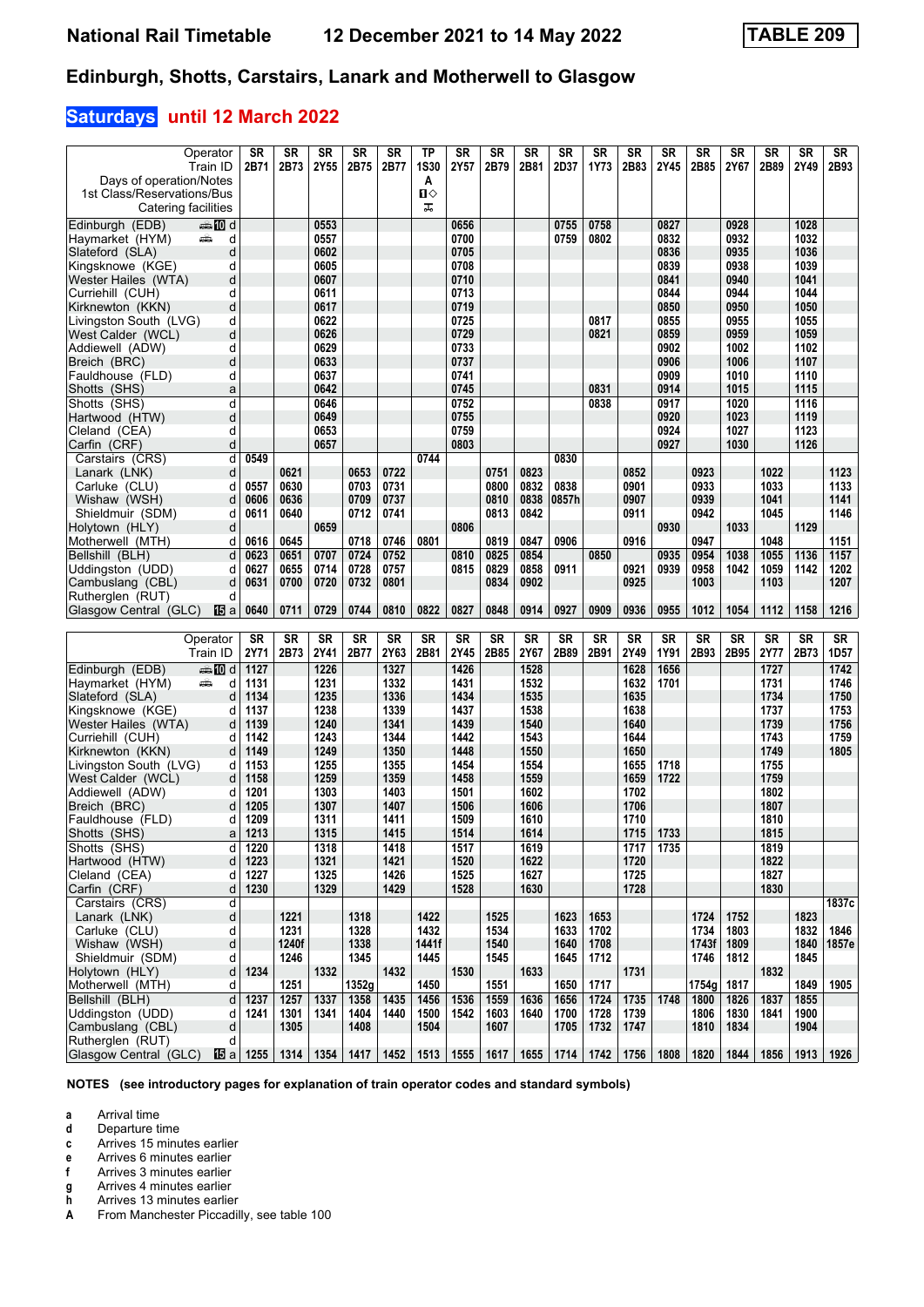# **Saturdays until 12 March 2022**

| Operator                                       | <b>SR</b>       | <b>SR</b> | <b>SR</b> | <b>SR</b> | <b>SR</b> | TP          | SR        | SR        | SR        | SR        | <b>SR</b> | SR        | SR        | SR        | <b>SR</b> | SR        | SR        | SR        |
|------------------------------------------------|-----------------|-----------|-----------|-----------|-----------|-------------|-----------|-----------|-----------|-----------|-----------|-----------|-----------|-----------|-----------|-----------|-----------|-----------|
|                                                |                 |           |           |           |           |             |           |           |           |           |           |           |           |           |           |           |           |           |
| Train ID                                       | 2B71            | 2B73      | 2Y55      | 2B75      | 2B77      | <b>1S30</b> | 2Y57      | 2B79      | 2B81      | 2D37      | 1Y73      | 2B83      | 2Y45      | 2B85      | 2Y67      | 2B89      | 2Y49      | 2B93      |
| Days of operation/Notes                        |                 |           |           |           |           | A           |           |           |           |           |           |           |           |           |           |           |           |           |
| 1st Class/Reservations/Bus                     |                 |           |           |           |           | п⇔          |           |           |           |           |           |           |           |           |           |           |           |           |
| Catering facilities                            |                 |           |           |           |           | ᠼ           |           |           |           |           |           |           |           |           |           |           |           |           |
| Edinburgh (EDB)                                |                 |           | 0553      |           |           |             | 0656      |           |           |           | 0758      |           | 0827      |           | 0928      |           |           |           |
| dan <b>in</b> d                                |                 |           |           |           |           |             |           |           |           | 0755      |           |           |           |           |           |           | 1028      |           |
| Haymarket (HYM)<br>d<br>پیشته                  |                 |           | 0557      |           |           |             | 0700      |           |           | 0759      | 0802      |           | 0832      |           | 0932      |           | 1032      |           |
| d<br>Slateford (SLA)                           |                 |           | 0602      |           |           |             | 0705      |           |           |           |           |           | 0836      |           | 0935      |           | 1036      |           |
| Kingsknowe (KGE)<br>d                          |                 |           | 0605      |           |           |             | 0708      |           |           |           |           |           | 0839      |           | 0938      |           | 1039      |           |
| Wester Hailes (WTA)<br>d                       |                 |           | 0607      |           |           |             | 0710      |           |           |           |           |           | 0841      |           | 0940      |           | 1041      |           |
| Curriehill (CUH)<br>d                          |                 |           | 0611      |           |           |             | 0713      |           |           |           |           |           | 0844      |           | 0944      |           | 1044      |           |
| d<br>Kirknewton (KKN)                          |                 |           | 0617      |           |           |             | 0719      |           |           |           |           |           | 0850      |           | 0950      |           | 1050      |           |
|                                                |                 |           |           |           |           |             | 0725      |           |           |           | 0817      |           |           |           |           |           | 1055      |           |
| Livingston South (LVG)<br>d                    |                 |           | 0622      |           |           |             |           |           |           |           |           |           | 0855      |           | 0955      |           |           |           |
| West Calder (WCL)<br>d                         |                 |           | 0626      |           |           |             | 0729      |           |           |           | 0821      |           | 0859      |           | 0959      |           | 1059      |           |
| Addiewell (ADW)<br>d                           |                 |           | 0629      |           |           |             | 0733      |           |           |           |           |           | 0902      |           | 1002      |           | 1102      |           |
| d<br>Breich (BRC)                              |                 |           | 0633      |           |           |             | 0737      |           |           |           |           |           | 0906      |           | 1006      |           | 1107      |           |
| Fauldhouse (FLD)<br>d                          |                 |           | 0637      |           |           |             | 0741      |           |           |           |           |           | 0909      |           | 1010      |           | 1110      |           |
| Shotts (SHS)<br>a                              |                 |           | 0642      |           |           |             | 0745      |           |           |           | 0831      |           | 0914      |           | 1015      |           | 1115      |           |
| Shotts (SHS)<br>d                              |                 |           | 0646      |           |           |             | 0752      |           |           |           | 0838      |           | 0917      |           | 1020      |           | 1116      |           |
|                                                |                 |           |           |           |           |             |           |           |           |           |           |           |           |           |           |           |           |           |
| d<br>Hartwood (HTW)                            |                 |           | 0649      |           |           |             | 0755      |           |           |           |           |           | 0920      |           | 1023      |           | 1119      |           |
| Cleland (CEA)<br>d                             |                 |           | 0653      |           |           |             | 0759      |           |           |           |           |           | 0924      |           | 1027      |           | 1123      |           |
| d<br>Carfin (CRF)                              |                 |           | 0657      |           |           |             | 0803      |           |           |           |           |           | 0927      |           | 1030      |           | 1126      |           |
| Carstairs (CRS)<br>d                           | 0549            |           |           |           |           | 0744        |           |           |           | 0830      |           |           |           |           |           |           |           |           |
| Lanark (LNK)<br>d                              |                 | 0621      |           | 0653      | 0722      |             |           | 0751      | 0823      |           |           | 0852      |           | 0923      |           | 1022      |           | 1123      |
| Carluke (CLU)<br>d                             | 0557            | 0630      |           | 0703      | 0731      |             |           | 0800      | 0832      | 0838      |           | 0901      |           | 0933      |           | 1033      |           | 1133      |
|                                                |                 |           |           |           |           |             |           |           |           |           |           |           |           |           |           |           |           |           |
| Wishaw (WSH)<br>d                              | 0606            | 0636      |           | 0709      | 0737      |             |           | 0810      | 0838      | 0857h     |           | 0907      |           | 0939      |           | 1041      |           | 1141      |
| Shieldmuir (SDM)<br>d                          | 0611            | 0640      |           | 0712      | 0741      |             |           | 0813      | 0842      |           |           | 0911      |           | 0942      |           | 1045      |           | 1146      |
| Holytown (HLY)<br>d                            |                 |           | 0659      |           |           |             | 0806      |           |           |           |           |           | 0930      |           | 1033      |           | 1129      |           |
| Motherwell (MTH)<br>d                          | 0616            | 0645      |           | 0718      | 0746      | 0801        |           | 0819      | 0847      | 0906      |           | 0916      |           | 0947      |           | 1048      |           | 1151      |
| Bellshill (BLH)<br>d                           | 0623            | 0651      | 0707      | 0724      | 0752      |             | 0810      | 0825      | 0854      |           | 0850      |           | 0935      | 0954      | 1038      | 1055      | 1136      | 1157      |
| Uddingston (UDD)<br>d                          | 0627            | 0655      | 0714      | 0728      | 0757      |             | 0815      | 0829      | 0858      | 0911      |           | 0921      | 0939      | 0958      | 1042      | 1059      | 1142      | 1202      |
|                                                |                 |           |           |           |           |             |           |           |           |           |           |           |           |           |           |           |           | 1207      |
| Cambuslang (CBL)<br>d                          | 0631            | 0700      | 0720      | 0732      | 0801      |             |           | 0834      | 0902      |           |           | 0925      |           | 1003      |           | 1103      |           |           |
| Rutherglen (RUT)<br>d                          |                 |           |           |           |           |             |           |           |           |           |           |           |           |           |           |           |           |           |
| Glasgow Central (GLC)<br>個a                    | 0640            | 0711      | 0729      | 0744      | 0810      | 0822        | 0827      | 0848      | 0914      | 0927      | 0909      | 0936      | 0955      | 1012      | 1054      | 1112      | 1158      | 1216      |
|                                                |                 |           |           |           |           |             |           |           |           |           |           |           |           |           |           |           |           |           |
| Operator                                       | <b>SR</b>       | <b>SR</b> | <b>SR</b> | <b>SR</b> | <b>SR</b> | <b>SR</b>   | <b>SR</b> | <b>SR</b> | <b>SR</b> | <b>SR</b> | <b>SR</b> | <b>SR</b> | <b>SR</b> | <b>SR</b> | <b>SR</b> | <b>SR</b> | <b>SR</b> | <b>SR</b> |
| Train ID                                       | <b>2Y71</b>     | 2B73      | 2Y41      | 2B77      | 2Y63      | 2B81        | 2Y45      | 2B85      | 2Y67      | 2B89      | 2B91      | 2Y49      | 1Y91      | 2B93      | 2B95      | 2Y77      | 2B73      | 1D57      |
|                                                |                 |           |           |           |           |             |           |           |           |           |           |           |           |           |           |           |           |           |
| Edinburgh (EDB)<br>dannam di                   | 1127            |           | 1226      |           | 1327      |             | 1426      |           | 1528      |           |           | 1628      | 1656      |           |           | 1727      |           | 1742      |
| Haymarket (HYM)<br>پیشته<br>d                  | 1131            |           | 1231      |           | 1332      |             | 1431      |           | 1532      |           |           | 1632      | 1701      |           |           | 1731      |           | 1746      |
| Slateford (SLA)<br>d                           | 1134            |           | 1235      |           |           |             |           |           |           |           |           |           |           |           |           | 1734      |           | 1750      |
| Kingsknowe (KGE)<br>d                          | 1137            |           |           |           | 1336      |             | 1434      |           | 1535      |           |           | 1635      |           |           |           | 1737      |           | 1753      |
| Wester Hailes (WTA)<br>d                       |                 |           | 1238      |           | 1339      |             | 1437      |           | 1538      |           |           | 1638      |           |           |           |           |           |           |
|                                                |                 |           |           |           |           |             |           |           |           |           |           |           |           |           |           |           |           |           |
|                                                | 1139            |           | 1240      |           | 1341      |             | 1439      |           | 1540      |           |           | 1640      |           |           |           | 1739      |           | 1756      |
| Curriehill (CUH)<br>d                          | 1142            |           | 1243      |           | 1344      |             | 1442      |           | 1543      |           |           | 1644      |           |           |           | 1743      |           | 1759      |
| Kirknewton (KKN)<br>d                          | 1149            |           | 1249      |           | 1350      |             | 1448      |           | 1550      |           |           | 1650      |           |           |           | 1749      |           | 1805      |
| Livingston South (LVG)<br>d                    | 1153            |           | 1255      |           | 1355      |             | 1454      |           | 1554      |           |           | 1655      | 1718      |           |           | 1755      |           |           |
| West Calder (WCL)<br>d                         | 1158            |           | 1259      |           | 1359      |             | 1458      |           | 1559      |           |           | 1659      | 1722      |           |           | 1759      |           |           |
| Addiewell (ADW)<br>d                           | 1201            |           | 1303      |           | 1403      |             | 1501      |           | 1602      |           |           | 1702      |           |           |           | 1802      |           |           |
| d                                              | 1205            |           | 1307      |           | 1407      |             | 1506      |           | 1606      |           |           | 1706      |           |           |           | 1807      |           |           |
| Breich (BRC)                                   |                 |           |           |           |           |             |           |           |           |           |           |           |           |           |           |           |           |           |
| Fauldhouse (FLD)<br>d                          | 1209            |           | 1311      |           | 1411      |             | 1509      |           | 1610      |           |           | 1710      |           |           |           | 1810      |           |           |
| Shotts (SHS)<br>a                              | 1213            |           | 1315      |           | 1415      |             | 1514      |           | 1614      |           |           | 1715      | 1733      |           |           | 1815      |           |           |
| Shotts (SHS)<br>d                              | 1220            |           | 1318      |           | 1418      |             | 1517      |           | 1619      |           |           | 1717      | 1735      |           |           | 1819      |           |           |
| Hartwood (HTW)<br>d                            | 1223            |           | 1321      |           | 1421      |             | 1520      |           | 1622      |           |           | 1720      |           |           |           | 1822      |           |           |
| Cleland (CEA)<br>d                             | 1227            |           | 1325      |           | 1426      |             | 1525      |           | 1627      |           |           | 1725      |           |           |           | 1827      |           |           |
| Carfin (CRF)<br>d                              | 1230            |           | 1329      |           | 1429      |             | 1528      |           | 1630      |           |           | 1728      |           |           |           | 1830      |           |           |
| d                                              |                 |           |           |           |           |             |           |           |           |           |           |           |           |           |           |           |           |           |
| Carstairs (CRS)                                |                 |           |           |           |           |             |           |           |           |           |           |           |           |           |           |           |           | 1837c     |
| d<br>Lanark (LNK)                              |                 | 1221      |           | 1318      |           | 1422        |           | 1525      |           | 1623      | 1653      |           |           | 1724      | 1752      |           | 1823      |           |
| Carluke (CLU)<br>d                             |                 | 1231      |           | 1328      |           | 1432        |           | 1534      |           | 1633      | 1702      |           |           | 1734      | 1803      |           | 1832      | 1846      |
| Wishaw (WSH)<br>d                              |                 | 1240f     |           | 1338      |           | 1441f       |           | 1540      |           | 1640      | 1708      |           |           | 1743f     | 1809      |           | 1840      | 1857e     |
| Shieldmuir (SDM)<br>d                          |                 | 1246      |           | 1345      |           | 1445        |           | 1545      |           | 1645      | 1712      |           |           | 1746      | 1812      |           | 1845      |           |
| Holytown (HLY)<br>d                            | 1234            |           | 1332      |           | 1432      |             | 1530      |           | 1633      |           |           | 1731      |           |           |           | 1832      |           |           |
| Motherwell (MTH)<br>d                          |                 | 1251      |           | 1352g     |           | 1450        |           | 1551      |           | 1650      | 1717      |           |           | 1754g     | 1817      |           | 1849      | 1905      |
|                                                |                 |           |           |           |           |             |           |           |           |           |           |           |           |           |           |           |           |           |
| Bellshill (BLH)<br>d                           | 1237            | 1257      | 1337      | 1358      | 1435      | 1456        | 1536      | 1559      | 1636      | 1656      | 1724      | 1735      | 1748      | 1800      | 1826      | 1837      | 1855      |           |
| Uddingston (UDD)<br>d                          | 1241            | 1301      | 1341      | 1404      | 1440      | 1500        | 1542      | 1603      | 1640      | 1700      | 1728      | 1739      |           | 1806      | 1830      | 1841      | 1900      |           |
| Cambuslang (CBL)<br>d                          |                 | 1305      |           | 1408      |           | 1504        |           | 1607      |           | 1705      | 1732      | 1747      |           | 1810      | 1834      |           | 1904      |           |
| Rutherglen (RUT)<br>d<br>Glasgow Central (GLC) | <b>個 a 1255</b> | 1314      | 1354      | 1417      | 1452      | 1513        | 1555      | 1617      | 1655      | 1714      | 1742      | 1756      | 1808      | 1820      | 1844      | 1856      | 1913      | 1926      |

**NOTES (see introductory pages for explanation of train operator codes and standard symbols)**

**a** Arrival time<br>**d** Departure t

**d** Departure time **c** Arrives 15 minutes earlier

**e** Arrives 6 minutes earlier **f** Arrives 3 minutes earlier

**g** Arrives 4 minutes earlier<br>**h** Arrives 13 minutes earlie

**h** Arrives 13 minutes earlier<br>**A** From Manchester Piccadil **A** From Manchester Piccadilly, see table 100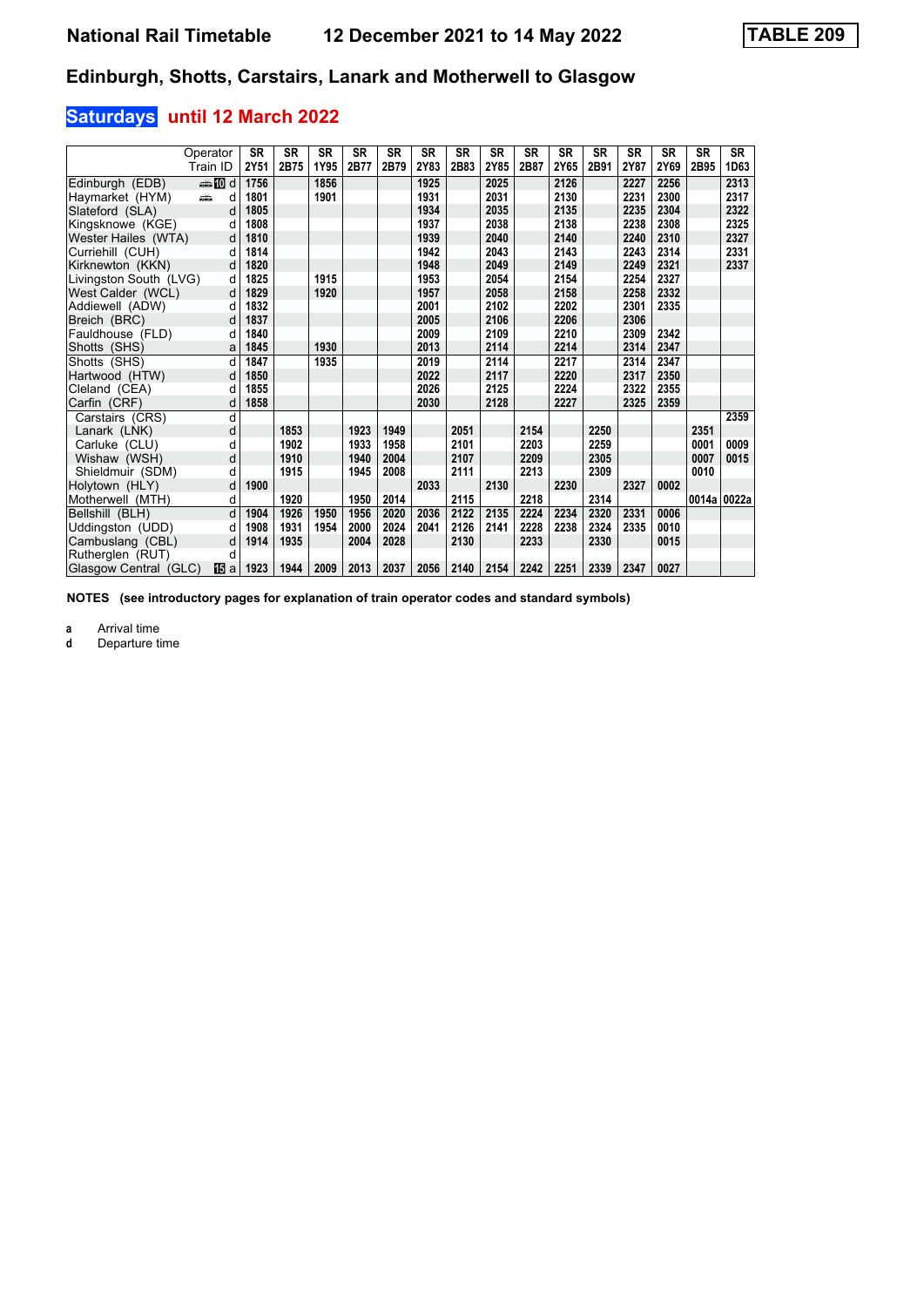# **Saturdays until 12 March 2022**

|                        | Operator                                                                                                                                                                                                                           | <b>SR</b> | <b>SR</b> | <b>SR</b> | <b>SR</b> | <b>SR</b> | <b>SR</b> | <b>SR</b> | <b>SR</b> | <b>SR</b> | <b>SR</b> | <b>SR</b> | <b>SR</b> | <b>SR</b> | <b>SR</b> | SR          |
|------------------------|------------------------------------------------------------------------------------------------------------------------------------------------------------------------------------------------------------------------------------|-----------|-----------|-----------|-----------|-----------|-----------|-----------|-----------|-----------|-----------|-----------|-----------|-----------|-----------|-------------|
|                        | Train ID                                                                                                                                                                                                                           | 2Y51      | 2B75      | 1Y95      | 2B77      | 2B79      | 2Y83      | 2B83      | 2Y85      | 2B87      | 2Y65      | 2B91      | 2Y87      | 2Y69      | 2B95      | 1D63        |
| Edinburgh (EDB)        | d <b>li</b>                                                                                                                                                                                                                        | 1756      |           | 1856      |           |           | 1925      |           | 2025      |           | 2126      |           | 2227      | 2256      |           | 2313        |
| Haymarket (HYM)        | and the second second second second the second second second second second second second second second second second second second second second second second second second second second second second second second second<br>d | 1801      |           | 1901      |           |           | 1931      |           | 2031      |           | 2130      |           | 2231      | 2300      |           | 2317        |
| Slateford (SLA)        | d                                                                                                                                                                                                                                  | 1805      |           |           |           |           | 1934      |           | 2035      |           | 2135      |           | 2235      | 2304      |           | 2322        |
| Kingsknowe (KGE)       | d                                                                                                                                                                                                                                  | 1808      |           |           |           |           | 1937      |           | 2038      |           | 2138      |           | 2238      | 2308      |           | 2325        |
| Wester Hailes (WTA)    | d                                                                                                                                                                                                                                  | 1810      |           |           |           |           | 1939      |           | 2040      |           | 2140      |           | 2240      | 2310      |           | 2327        |
| Curriehill (CUH)       | d                                                                                                                                                                                                                                  | 1814      |           |           |           |           | 1942      |           | 2043      |           | 2143      |           | 2243      | 2314      |           | 2331        |
| Kirknewton (KKN)       | d                                                                                                                                                                                                                                  | 1820      |           |           |           |           | 1948      |           | 2049      |           | 2149      |           | 2249      | 2321      |           | 2337        |
| Livingston South (LVG) | d                                                                                                                                                                                                                                  | 1825      |           | 1915      |           |           | 1953      |           | 2054      |           | 2154      |           | 2254      | 2327      |           |             |
| West Calder (WCL)      | d                                                                                                                                                                                                                                  | 1829      |           | 1920      |           |           | 1957      |           | 2058      |           | 2158      |           | 2258      | 2332      |           |             |
| Addiewell (ADW)        | d                                                                                                                                                                                                                                  | 1832      |           |           |           |           | 2001      |           | 2102      |           | 2202      |           | 2301      | 2335      |           |             |
| Breich (BRC)           | d                                                                                                                                                                                                                                  | 1837      |           |           |           |           | 2005      |           | 2106      |           | 2206      |           | 2306      |           |           |             |
| Fauldhouse (FLD)       | d                                                                                                                                                                                                                                  | 1840      |           |           |           |           | 2009      |           | 2109      |           | 2210      |           | 2309      | 2342      |           |             |
| Shotts (SHS)           | a                                                                                                                                                                                                                                  | 1845      |           | 1930      |           |           | 2013      |           | 2114      |           | 2214      |           | 2314      | 2347      |           |             |
| Shotts (SHS)           | d                                                                                                                                                                                                                                  | 1847      |           | 1935      |           |           | 2019      |           | 2114      |           | 2217      |           | 2314      | 2347      |           |             |
| Hartwood (HTW)         | d                                                                                                                                                                                                                                  | 1850      |           |           |           |           | 2022      |           | 2117      |           | 2220      |           | 2317      | 2350      |           |             |
| Cleland (CEA)          | d                                                                                                                                                                                                                                  | 1855      |           |           |           |           | 2026      |           | 2125      |           | 2224      |           | 2322      | 2355      |           |             |
| Carfin (CRF)           | d                                                                                                                                                                                                                                  | 1858      |           |           |           |           | 2030      |           | 2128      |           | 2227      |           | 2325      | 2359      |           |             |
| Carstairs (CRS)        | d                                                                                                                                                                                                                                  |           |           |           |           |           |           |           |           |           |           |           |           |           |           | 2359        |
| Lanark (LNK)           | d                                                                                                                                                                                                                                  |           | 1853      |           | 1923      | 1949      |           | 2051      |           | 2154      |           | 2250      |           |           | 2351      |             |
| Carluke (CLU)          | d                                                                                                                                                                                                                                  |           | 1902      |           | 1933      | 1958      |           | 2101      |           | 2203      |           | 2259      |           |           | 0001      | 0009        |
| Wishaw (WSH)           | d                                                                                                                                                                                                                                  |           | 1910      |           | 1940      | 2004      |           | 2107      |           | 2209      |           | 2305      |           |           | 0007      | 0015        |
| Shieldmuir (SDM)       | d                                                                                                                                                                                                                                  |           | 1915      |           | 1945      | 2008      |           | 2111      |           | 2213      |           | 2309      |           |           | 0010      |             |
| Holytown (HLY)         | d                                                                                                                                                                                                                                  | 1900      |           |           |           |           | 2033      |           | 2130      |           | 2230      |           | 2327      | 0002      |           |             |
| Motherwell (MTH)       | d                                                                                                                                                                                                                                  |           | 1920      |           | 1950      | 2014      |           | 2115      |           | 2218      |           | 2314      |           |           |           | 0014a 0022a |
| Bellshill (BLH)        | d                                                                                                                                                                                                                                  | 1904      | 1926      | 1950      | 1956      | 2020      | 2036      | 2122      | 2135      | 2224      | 2234      | 2320      | 2331      | 0006      |           |             |
| Uddingston (UDD)       | d                                                                                                                                                                                                                                  | 1908      | 1931      | 1954      | 2000      | 2024      | 2041      | 2126      | 2141      | 2228      | 2238      | 2324      | 2335      | 0010      |           |             |
| Cambuslang (CBL)       | d                                                                                                                                                                                                                                  | 1914      | 1935      |           | 2004      | 2028      |           | 2130      |           | 2233      |           | 2330      |           | 0015      |           |             |
| Rutherglen (RUT)       | d                                                                                                                                                                                                                                  |           |           |           |           |           |           |           |           |           |           |           |           |           |           |             |
| Glasgow Central (GLC)  | 16 al                                                                                                                                                                                                                              | 1923      | 1944      | 2009      | 2013      | 2037      | 2056      | 2140      | 2154      | 2242      | 2251      | 2339      | 2347      | 0027      |           |             |

**NOTES (see introductory pages for explanation of train operator codes and standard symbols)**

**a** Arrival time<br>**d** Departure time

**d** Departure time